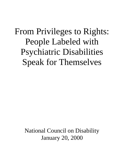# From Privileges to Rights: People Labeled with Psychiatric Disabilities Speak for Themselves

National Council on Disability January 20, 2000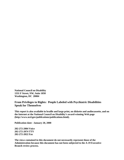**National Council on Disability 1331 F Street, NW, Suite 1050 Washington, DC 20004**

**From Privileges to Rights: People Labeled with Psychiatric Disabilities Speak for Themselves**

**This report is also available in braille and large print, on diskette and audiocassette, and on the Internet at the National Council on Disability's award-winning Web page (http://www.ncd.gov/publications/publications.html).**

**Publication date: January 20, 2000**

**202-272-2004 Voice 202-272-2074 TTY 202-272-2022 Fax**

**The views contained in this document do not necessarily represent those of the Administration because this document has not been subjected to the A-19 Executive Branch review process.**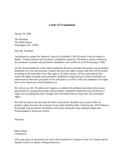## **Letter of Transmittal**

January 20, 2000

The President The White House Washington, DC 20500

Dear Mr. President:

I am pleased to submit the National Council on Disability's (NCD) report *From Privileges to Rights: People Labeled with Psychiatric Disabilities Speak for Themselves*, which is based on the testimony of people with psychiatric disabilities who testified at an NCD hearing in 1998.

All the recommendations in this report emphasize the basic principle that people with psychiatric disabilities are, first and foremost, citizens who have the right to expect that they will be treated according to the principles of law that apply to all other citizens. All laws and policies that restrict the rights of people with psychiatric disabilities simply because of their disabilities are inharmonious with basic principles of law and justice, as well as with such landmark civil rights laws as the Americans with Disabilities Act.

We call on you, Mr. President and Congress, to address the problems described in this report, particularly by ensuring that people with psychiatric disabilities themselves are involved in a major way in making the policy changes that will enable them to claim their full citizenship rights.

We look forward to the day when the label of psychiatric disability has no more effect on people's rights than does the existence of any other disability label. Until that day, NCD believes that people with psychiatric disabilities will remain among the most underprivileged and disadvantaged of American citizens.

Sincerely,

Marca Bristo Chairperson

(The same letter of transmittal was sent to the President Pro Tempore of the U.S. Senate and the Speaker of the U.S. House of Representatives.)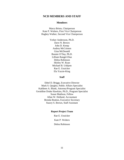## **NCD MEMBERS AND STAFF**

## **Members**

Marca Bristo, Chairperson Kate P. Wolters, First Vice Chairperson Hughey Walker, Second Vice Chairperson

> Yerker Andersson, Ph.D. Dave N. Brown John D. Kemp Audrey McCrimon Gina McDonald Bonnie O'Day, Ph.D. Lilliam Rangel-Diaz Debra Robinson Shirley W. Ryan Michael B. Unhjem Rae E. Unzicker Ela Yazzie-King

## **Staff**

Ethel D. Briggs, Executive Director Mark S. Quigley, Public Affairs Specialist Kathleen A. Blank, Attorney/Program Specialist Geraldine Drake Hawkins, Ph.D., Program Specialist Susan Madison, Fellow Allan W. Holland, Accountant Brenda Bratton, Executive Secretary Stacey S. Brown, Staff Assistant

## **Report Project Team**

Rae E. Unzicker Kate P. Wolters Debra Robinson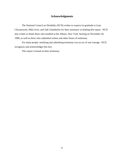## **Acknowledgments**

The National Council on Disability (NCD) wishes to express its gratitude to Leye Chrzanowski, Mike Irvin, and Judi Chamberlin for their assistance in drafting this report. NCD also wishes to thank those who testified at the Albany, New York, hearing on November 20, 1998, as well as those who submitted written and other forms of testimony.

For many people, testifying and submitting testimony was an act of real courage. NCD recognizes and acknowledges this fact.

This report is based on their testimony.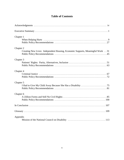# **Table of Contents**

| Chapter 1                                                                                   |
|---------------------------------------------------------------------------------------------|
| Chapter 2<br>Creating New Lives: Independent Housing, Economic Supports, Meaningful Work 31 |
| Chapter 3                                                                                   |
| Chapter 4                                                                                   |
| Chapter 5                                                                                   |
| Chapter 6                                                                                   |
|                                                                                             |
|                                                                                             |
| Appendix                                                                                    |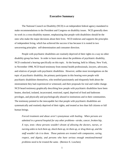## **Executive Summary**

The National Council on Disability (NCD) is an independent federal agency mandated to make recommendations to the President and Congress on disability issues. NCD generally does its work in a cross-disability manner, emphasizing that people with disabilities should be the ones who make the major decisions about their lives. NCD endorses and supports the principles of independent living, which has achieved the success it has because it is rooted in two unwavering principles: self-determination and consumer direction.

People with psychiatric disabilities are routinely deprived of their rights in a way no other disability group has been. In order to learn more about the problems of psychiatric disability, NCD conducted a hearing specifically on this topic. At the hearing, held in Albany, New York, in November 1998, NCD heard testimony from mental health professionals, lawyers, advocates, and relatives of people with psychiatric disabilities. However, unlike most investigations on the topic of psychiatric disability, the primary participants in this hearing were people with psychiatric disabilities themselves, who testified passionately and eloquently both about the mistreatment they had experienced or witnessed, and their proposals for real and viable change. NCD heard testimony graphically describing how people with psychiatric disabilities have been beaten, shocked, isolated, incarcerated, restricted, raped, deprived of food and bathroom privileges, and physically and psychologically abused in institutions and in their communities. The testimony pointed to the inescapable fact that people with psychiatric disabilities are systematically and routinely deprived of their rights, and treated as less than full citizens or full human beings.

*Forced treatment and abuse aren't synonymous with healing. When persons are admitted in a general hospital for any other problems—stroke, cancer, broken hip, X rays, tests—these persons wouldn't dream of allowing the doctors, nurses, or nursing aides to lock them up, shock them up, tie them up, or drug them up, and the staff wouldn't do it to them. Those patients are treated with compassion, caring, respect, and dignity, and persons who have serious enough emotional/mental problems need to be treated the same.* (Bernice E. Loschen)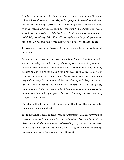*Finally, it is important to realize how cruelly this system preys on the worst fears and vulnerabilities of people in crisis. They isolate you from the rest of the world, and they become your only reference point. When they accuse someone of being treatment resistant, they are accusing them of not wanting to change their lives. I was told that this was the end of the line for me. If this didn't work, nothing would, and if I left, I would very likely kill myself. During the entire length of my treatment, they did nothing constructive for me, and they hurt me deeply.* (Diana Rickard)

Joe Young of the New Jersey P&A testified about abuses he has witnessed in mental institutions.

*Among the more egregious concerns: the administration of medication, often without consulting the resident, likely without informed consent, frequently with limited understanding of the likely effect on this particular individual, including possible long-term side effects, and often for reasons of control rather than treatment; the absence not just of regular effective treatment programs, but of any purposeful activity (residents can still be seen sleeping in hallways and in the dayroom when bedrooms are locked); the arbitrary (and often dangerous) application of restraints, seclusion, and isolation; and the continued warehousing of individuals for months, if not years, after the expiration of any determination of [danger].* (Joe Young)

Diana Rickard testified about the degrading extent of the denial of basic human rights while she was institutionalized.

*The unit structure is based on privileges and punishments, which are referred to as consequences, since they maintain these are not punitive. [The structure] will not allow any kind of privacy whatsoever, and everything is a potential treatment issue, including nail-biting and not making one's bed. They maintain control through humiliation and fear of humiliation.* (Diana Rickard)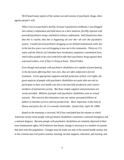NCD heard many reports of the routine use and overuse of psychiatric drugs, often against people's will.

*When I was in a psychiatric facility, because I questioned conditions, I was dragged into solitary confinement and held down on a bare mattress, forcibly injected with powerful psychiatric drugs, and held in solitary confinement. And I found since then that this is routine, that this is happening all over the—all over the psychiatric system. Usually forced psychiatric drugging occurs behind institutional walls, but in the last few years coerced drugging is now out in the community. Thirty-six U.S. states and the District of Columbia have involuntary outpatient commitment laws, which allow people to be court ordered to take their psychiatric drugs against their expressed wishes, even if they're living at home.* (David Oaks)

*Even though most people with psychiatric disabilities are capable of participating in the decisions affecting their own care, they are often subjected to forced treatment. Given appropriate supports and full protection of their civil rights, the great majority of people with psychiatric disabilities are quite able not only to participate in their own health care but to become fully productive and creative members of mainstream society. But those simple supports and protections are rarely provided. Millions of people with psychiatric disabilities exist as virtual outcasts. This massive discrimination costs our nation uncounted billions of dollars in obsolete services and lost productivity. More important, in the land of liberty and justice for all, it is morally intolerable.* (Justin Dart, April 20, 1999)

Based on the testimony it received, NCD has concluded that the manner in which American society treats people with psychiatric disabilities constitutes a national emergency and a national disgrace. Because people with psychiatric disabilities are routinely deprived of their most fundamental rights, NCD believes that drastic change is necessary in a number of systems that deal with this population. Changes must be made not only in the mental health system, but in the criminal and civil justice systems, housing, income supports, education, job training, and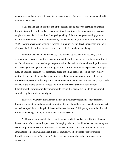many others, so that people with psychiatric disabilities are guaranteed their fundamental rights as American citizens.

NCD has also concluded that one of the reasons public policy concerning psychiatric disability is so different from that concerning other disabilities is the systematic exclusion of people with psychiatric disabilities from policymaking. It is rare that people with psychiatric disabilities are heard in public-policy forums, and when they are, it is usually in token numbers. NCD's hearing was unique because it focused its attention on the direct experiences of people with psychiatric disabilities themselves, and their calls for fundamental change.

The foremost change that is needed, as referred to by speaker after speaker, is the elimination of coercion from the provision of mental health services. Involuntary commitment and forced treatment, which often go unquestioned in discussions of mental health policy, were described again and again as being among the most painful and difficult experiences of people's lives. In addition, coercion was repeatedly noted as being a barrier to seeking out voluntary treatment, since people knew that once they entered the treatment system they could be coerced or involuntarily committed at any point. At a time when American citizens are being urged to do away with the stigma of mental illness and to voluntarily seek treatment for emotional difficulties, it becomes particularly important to ensure that people are able to do so without surrendering their fundamental rights.

Therefore, NCD recommends that the use of involuntary treatments, such as forced drugging and inpatient and outpatient commitment laws, should be viewed as inherently suspect and as incompatible with the principles of self-determination. Public policy should be directed toward establishing a totally voluntary mental health system.

NCD also recommends that aversive treatments, which involve the infliction of pain or the restriction of movement for purposes of changing behavior, should be banned, since they are also incompatible with self-determination principles. Practices that would often be illegal if administered to people without disabilities are routinely used on people with psychiatric disabilities in the name of "treatment." Such practices should shock the consciences of all Americans.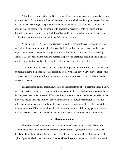All of the recommendations in NCD's report follow the same basic principles: that people with psychiatric disabilities are, first and foremost, citizens who have the right to expect that they will be treated according to the principles of law that apply to all other citizens. All laws and policies that restrict the rights of people with psychiatric disabilities solely because of their disabilities are at odds with basic principles of law and justice, as well as with such landmark civil rights laws as the Americans with Disabilities Act (ADA).

NCD calls on the President and Congress to address the problems described in its report, particularly by ensuring that people with psychiatric disabilities themselves are involved in a major way in making the policy changes that will enable them to claim their full citizenship rights. NCD also calls on the media to address the problems described herein, and to avoid the negative stereotyping that has often typified public discussions of mental illness.

NCD looks forward to the day when the label of psychiatric disability has no more effect on people's rights than does any other disability label. Until that day, NCD believes that people with psychiatric disabilities will remain among the most underprivileged and disadvantaged of American citizens.

The recommendations that follow center on the importance of self-determination, dignity, and choice as the cornerstone of public policy for people in this highly disempowered population. As Congress stated when it passed ADA, disability is a natural part of the human experience that in no way should limit the ability of people to make choices, pursue meaningful careers, live independently, and participate fully in all aspects of American society. NCD believes that these recommendations, if implemented, would help to ensure that the public policy goals articulated in ADA become a reality for people labeled with psychiatric disabilities in the United States.

## **Core Recommendations**

Therefore, NCD has developed 10 core recommendations in this report. These policy recommendations should be viewed from the context of the larger report, which follows. These deeply held core beliefs form, however, a dynamic backdrop to highlight the human and civil rights of people who have experienced the mental health system, people who should be viewed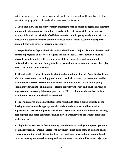as the true experts on their experiences, beliefs, and values, which should be used as a guiding force for changing public policy related to these issues in America.

**1. Laws that allow the use of involuntary treatments such as forced drugging and inpatient and outpatient commitment should be viewed as inherently suspect, because they are incompatible with the principle of self-determination. Public policy needs to move in the direction of a totally voluntary community-based mental health system that safeguards human dignity and respects individual autonomy.** 

**2. People labeled with psychiatric disabilities should have a major role in the direction and control of programs and services designed for their benefit. This central role must be played by people labeled with psychiatric disabilities themselves, and should not be confused with the roles that family members, professional advocates, and others often play when "consumer" input is sought.**

**3. Mental health treatment should be about healing, not punishment. Accordingly, the use of aversive treatments, including physical and chemical restraints, seclusion, and similar techniques that restrict freedom of movement, should be banned. Also, public policy should move toward the elimination of electro-convulsive therapy and psycho surgery as unproven and inherently inhumane procedures. Effective humane alternatives to these techniques exist now and should be promoted.**

**4. Federal research and demonstration resources should place a higher priority on the development of culturally appropriate alternatives to the medical and biochemical approaches to treatment of people labeled with psychiatric disabilities, including self-help, peer support, and other consumer/survivor-driven alternatives to the traditional mental health system.**

**5. Eligibility for services in the community should never be contingent on participation in treatment programs. People labeled with psychiatric disabilities should be able to select from a menu of independently available services and programs, including mental health services, housing, vocational training, and job placement, and should be free to reject any**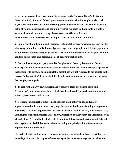**service or program. Moreover, in part in response to the Supreme Court's decision in** *Olmstead v. L C.***, State and federal governments should work with people labeled with psychiatric disabilities and others receiving publicly-funded care in institutions to expand culturally appropriate home- and community-based supports so that people are able to leave institutional care and, if they choose, access an effective, flexible, consumer/survivor-driven system of supports and services in the community.**

**6. Employment and training and vocational rehabilitation programs must account for the wide range of abilities, skills, knowledge, and experience of people labeled with psychiatric disabilities by administering programs that are highly individualized and responsive to the abilities, preferences, and personal goals of program participants.**

**7. Federal income support programs like Supplemental Security Income and Social Security Disability Insurance should provide flexible and work-friendly support options so that people with episodic or unpredictable disabilities are not required to participate in the current "all or nothing" federal disability benefit system, often at the expense of pursuing their employment goals.**

**8. To assure that parity laws do not make it easier to force people into accepting "treatments" they do not want, it is critical that these laws define parity only in terms of voluntary treatments and services.**

**9. Government civil rights enforcement agencies and publicly-funded advocacy organizations should work more closely together and with adequate funding to implement effectively critical existing laws like the Americans with Disabilities Act, Fair Housing Act, Civil Rights of Institutionalized Persons Act, Protection and Advocacy for Individuals with Mental Illness Act, and Individuals with Disabilities Education Act, giving people labeled with psychiatric disabilities a central role in setting the priorities for enforcement and implementation of these laws.**

**10. Federal, state, and local governments, including education, health care, social services, juvenile justice, and civil rights enforcement agencies, must work together to reduce the**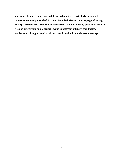**placement of children and young adults with disabilities, particularly those labeled seriously emotionally disturbed, in correctional facilities and other segregated settings. These placements are often harmful, inconsistent with the federally-protected right to a free and appropriate public education, and unnecessary if timely, coordinated, family-centered supports and services are made available in mainstream settings.**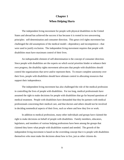# **Chapter 1 When Helping Hurts**

The independent living movement for people with physical disabilities in the United States and abroad has achieved the success it has because it is rooted in two unwavering principles: self-determination and consumer direction. This great civil rights movement has challenged the old assumptions of the medical model—dependency and incompetence—that were used to justify exclusion. The independent living movement requires that people with disabilities must have maximum control of their lives.

An indispensable element of self-determination is the concept of consumer direction. Since people with disabilities are the experts on which social priorities hinder or enhance their own progress, the disability rights movement advocates that people with disabilities should control the organizations that serve and/or represent them. To ensure complete autonomy over their lives, people with disabilities should have ultimate control in allocating resources that support their independence.

The independent living movement has also challenged the role of the medical profession in controlling the lives of people with disabilities. For too long, medical professionals have assumed the right to make decisions for people with disabilities that go far beyond questions of medical treatment. People with disabilities have demanded that they be partners with medical professionals concerning their medical care, and that doctors and others should not be involved in deciding nonmedical aspects of their lives, such as where and how they live or work.

In addition to medical professions, many other individuals and groups have claimed the right to make decisions on behalf of people with disabilities. Family members, educators, legislators, and members of various helping professions have been among the groups that claimed they knew what people with disabilities wanted and needed. The growth of the independent living movement is based on the overriding concept that it is people with disabilities themselves who must make the decisions about how to live, just as other citizens do.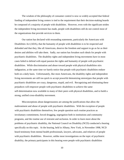The wisdom of the philosophy of consumer control is now so widely accepted that federal funding of independent living centers is tied to the requirement that their decision-making boards be composed of a majority of people with disabilities. However, even with the significant strides the independent living movement has made, people with disabilities still do not control most of the organizations that provide services to them.

Our nation has declared with resounding statements, particularly the Americans with Disabilities Act (ADA), that the humanity of people with disabilities is to be respected and defended and that they, like all Americans, deserve the freedom and support to go as far as their desires and abilities will take them. Sadly, our nation has forsaken such ideals for people with psychiatric disabilities. The disability rights and independent living movements have in most cases failed to defend with equal passion the rights and humanity of people with psychiatric disabilities. While discrimination and abuse toward people with physical disabilities stirs indignation, at the same time we barely notice that people with psychiatric disabilities endure both on a daily basis. Unfortunately, like most Americans, the disability rights and independent living movements are still too quick to accept powerful demonizing stereotypes that people with psychiatric disabilities are crazy, dangerous, stupid, and evil. Recognizing and eliminating these prejudices will empower people with psychiatric disabilities to achieve the same self-determination now available to many of their peers with physical disabilities, and to build a strong, unified cross-disability movement.

Misconceptions about dangerousness are among the justifications that allow the maltreatment and abuse of people with psychiatric disabilities. With the exception of people with psychiatric disabilities themselves, few people question such routine practices as involuntary commitment, forced drugging, segregation both in institutions and community programs, and the routine use of restraint and seclusion. In order to learn more about the problems of psychiatric disability, the National Council on Disability (NCD) conducted a hearing specifically on this topic. At the hearing, held in Albany, New York, in November 1998, NCD heard testimony from mental health professionals, lawyers, advocates, and relatives of people with psychiatric disabilities. However, unlike most investigations on the topic of psychiatric disability, the primary participants in this hearing were people with psychiatric disabilities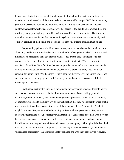themselves, who testified passionately and eloquently both about the mistreatment they had experienced or witnessed, and their proposals for real and viable change. NCD heard testimony graphically describing how people with psychiatric disabilities have been beaten, shocked, isolated, incarcerated, restricted, raped, deprived of access to food and bathroom facilities, and physically and psychologically abused in institutions and in their communities. The testimony pointed to the inescapable fact that people with psychiatric disabilities are systematically and routinely deprived of their rights and treated as less than full citizens or full human beings.

People with psychiatric disabilities are the only Americans who can have their freedom taken away and be institutionalized or incarcerated without being convicted of a crime and with minimal or no respect for their due process rights. They are the only Americans who can routinely be forced to submit to medical treatments against their will. When people with psychiatric disabilities die in facilities that are supposed to serve and protect them, their deaths are rarely investigated, and even when they are, criminal charges are rarely filed. This not happening in some Third World country. This is happening every day in the United States, and such practices are generally ignored or defended by mental health professionals, political leadership, and the media.

Involuntary treatment is extremely rare outside the psychiatric system, allowable only in such cases as unconsciousness or the inability to communicate. People with psychiatric disabilities, on the other hand, even when they vigorously protest treatments they do not want, are routinely subjected to them anyway, on the justification that they "lack insight" or are unable to recognize their need for treatment because of their "mental illness." In practice, "lack of insight" becomes disagreement with the treating professional, and people who disagree are labeled "noncompliant" or "uncooperative with treatment." After years of contact with a system that routinely does not recognize their preferences or desires, many people with psychiatric disabilities become resigned to their fate and cease to protest openly. Although this is described in the psychiatric literature as "compliance," it is actually learned helplessness (also known as "internalized oppression") that is incompatible with hope and with the possibility of recovery.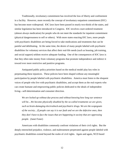Traditionally, involuntary commitment has involved the loss of liberty and confinement in a facility. However, more recently the concept of involuntary outpatient commitment (IOC) has become more widespread. IOC laws have been passed in nearly two-thirds of the states, and similar legislation has been introduced in Congress. IOC involves court-ordered treatment (almost always medication) for people who do not meet the standards for inpatient commitment (physical dangerousness to self or others). With more states enacting IOC laws, more people with psychiatric disabilities are being forced to take medications and treatments that can be painful and debilitating. At the same time, the desire of many people labeled with psychiatric disabilities for voluntary services that affect their real-life needs (such as housing, job training, and social support) seldom receive adequate funding. One of the consequences of IOC laws is that they often take money from voluntary programs that promote independence and redirect it toward ever more restrictive and punitive programs.

Antiquated public policy priorities based on the medical model play key roles in perpetuating these injustices. These policies have been shaped without any meaningful participation by people labeled with psychiatric disabilities. America must listen to the eloquent voices of people who live with psychiatric disabilities, and accept them as the real experts who can create humane and empowering public policies dedicated to the ideals of independent living—self-determination and consumer direction.

*We are locked up without due process and without knowing how long our sentence will be....We become physically disabled by the so-called treatments we are given, such as brain-damaging electroshock and psychiatric drugs. We are the scapegoats of the society....If people can say it is our fault and we are the defective ones, then they don't have to face the issues that are happening in society that are oppressing people.* (Janet Foner)

Americans with disabilities commonly confront violations of their civil rights. But the deeply entrenched prejudice, violence, and maltreatment perpetrated against people labeled with psychiatric disabilities extend beyond the realm of civil rights. Again and again, NCD heard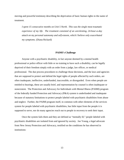moving and powerful testimony describing the deprivation of basic human rights in the name of treatment.

*I spent 15 consecutive months on Unit 5 North. This was the single most traumatic experience of my life. The treatment consisted of an unrelenting, 24-hour-a-day attack on my personal autonomy and self-esteem, which I believe only exacerbated my symptoms.* (Diana Rickard)

#### **PAIMI's Challenge**

Anyone with a psychiatric disability, in fact anyone deemed by a mental health professional or police officer with little or no training to have such a disability, can be legally deprived of their freedom simply with an order from a judge, law officer, or medical professional. The due process procedures to challenge those decisions, and the laws and agencies that are supposed to protect and defend the legal rights of people affected by such orders, are often inadequate, ineffective, underfunded, inaccessible, or disregarded. Even when people are entitled to hearings, these are usually brief, and representation by counsel is often inadequate or nonexistent. The Protection and Advocacy for Individuals with Mental Illness (PAIMI) program of the federally funded Protection and Advocacy (P&A) system is underfunded and inadequate because of statutory limitations to protect people labeled with psychiatric disabilities from abuse and neglect. Further, the PAIMI program itself, in common with other elements of the services system for people labeled with psychiatric disabilities, has little input from the people it is supposed to serve, nor do many agencies reach out to people in recovery to seek their input.

Once the system fails them and they are defined as "mentally ill," people labeled with psychiatric disabilities are isolated from and ignored by society. Joe Young, a legal advocate from New Jersey Protection and Advocacy, testified on the conditions he has observed in institutions: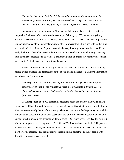*During the four years that NJP&A has sought to monitor the conditions in the state-run psychiatric hospitals, we have witnessed distressing, but I am certain not unusual, conditions that few, if any, of us would subject ourselves to voluntarily.*

Such conditions are not unique to New Jersey. When Marc Keifer entered East Bay Hospital in Richmond, California, on the evening of February 1, 1993, he was a physically healthy 38-year-old man. Less than two days later, Keifer, who carried a diagnosis of paranoid schizophrenia, died alone in an isolation room after he was restrained to a bed with leather straps, belts, and cuffs for 18 hours. A protection and advocacy investigation determined that Keifer likely died from "the undiagnosed and untreated medical condition of anticholinergic toxicity from psychiatric medications, as well as a prolonged period of improperly monitored seclusion and restraint." Such deaths are, unfortunately, not rare.

Because protection and advocacy agencies lack adequate funding and resources, many people are left helpless and defenseless, as the public affairs manager of a California protection and advocacy agency testified:

*I am very sad to say that this [investigational] unit is always extremely busy and cannot keep up with all the requests we receive to investigate individual cases of abuse and neglect of people with disabilities in California hospitals and institutions.* (Stacie Hiramoto)

P&As responded to 34,000 complaints regarding abuse and neglect in 1998, and have conducted 5,000 death investigations over the past 20 years. Cases that come to the attention of P&As represent merely the tip of the iceberg. The *American Journal of Psychiatry* reported that as many as 81 percent of women with psychiatric disabilities have been physically or sexually abused in institutions. In the general population, some 1,000 rapes occur each day, but only 300 of them are reported, according to the U.S. Office of Victims Assistance at the U.S. Department of Justice (DOJ). Likewise, the numbers of abuse and neglect complaints P&As responded to may be vastly understated as the majority of these incidents perpetrated against people with disabilities also are never reported.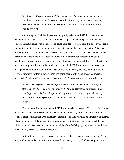*Based on my 20 years of work with the Commission, I believe too many consumer complaints or suspicions of abuse are buried with the body.* (Thomas R. Harmon, director of medical review and investigations, New York State Commission on Quality of Care)

An attorney testified that the statutory eligibility criteria for PAIMI services are too narrowly drawn. (PAIMI services are available to people labeled with psychiatric disabilities who are in institutions; or in the process of being admitted to or transported to one; or who are in a detention facility, jail, or prison; or with respect to matters that took place within 90 days of discharge from such facilities.) Since 1986, when the PAIMI law was enacted, there have been profound changes in the mental health delivery system that are not reflected in existing legislation. Nowadays, when many people labeled with psychiatric disabilities are subjected to outpatient programs that severely curtain their rights, the PAIMI's statutory limitations leave these people without the availability of legal advocacy. Several years ago, funding of legal services programs for low-income people, including people with disabilities, was severely restricted. People testifying indicated concern that P&A organizations will be similarly cut.

*I wanted to urge you to advocate to preserve that system, to expand the system, and also to ensure that it does not fall prey to the kind of destructive limitations...that have happened to the federal legal services program. Those sorts of restrictions, if placed on the P&A system, would absolutely devastate the effectiveness.* (Cliff Zucker)

Merely increasing the funding for PAIMI programs is not enough. Vigorous efforts must be made to ensure that PAIMIs are responsive to the people they serve. Current federal law requires that people labeled with psychiatric disabilities or their relatives be a majority on PAIMI advisory councils, but there is no similar requirement for their governing boards. While some advisory councils are heavily involved in oversight of the PAIMI program, others have minimal roles and may serve as a mere rubber stamp.

Further, there is an inherent conflict of interest in having federal oversight of the PAIMI program located in the Center for Mental Health Services (CMHS), which is an organization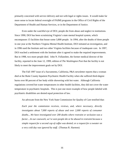primarily concerned with service delivery and not with legal or rights issues. It would make far more sense to locate federal oversight of PAIMI programs in the Office of Civil Rights of the Department of Health and Human Services, or in the Department of Justice.

Even under the watchful eye of DOJ, people die from abuse and neglect in institutions. Since 1990, DOJ has been scrutinizing Virginia's state mental hospital system, which encompasses 15 facilities that house some 3,800 people. In 1994, after the deaths of three people in one year at the Northern Virginia Mental Health Institute, DOJ initiated an investigation, and in 1996 sued the Institute and two other Virginia facilities because of inadequate care. In 1997, DOJ reached a settlement with the Institute after it agreed to make the required improvements. But in 1998, two more people died. John N. Follansbee, the former medical director of the facility, reported in the June 12, 1999, edition of *The Washington Post* that the facility is not likely to meet the improvement goals set by DOJ.

The Fall 1997 issue of a Sacramento, California, P&A newsletter reports that a woman died at the Butte County Inpatient Psychiatric Health Facility when she suffered third-degree burns over 80 percent of her body while showering with hot water. Although California regulations covered hot water temperatures in other health facilities, they did not cover the water temperature in psychiatric hospitals. This is just one more example of how people labeled with psychiatric disabilities are denied equal protection of law.

An advocate from the New York State Commission for Quality of Care testified that:

*Each year the commission receives, reviews, and, where necessary, directly investigates about 7,000 reports of abuse and over 2,000 reports of consumer deaths....We have investigated over 200 deaths where restraint or seclusion was a factor....In our casework, we've seen people die or be abused in restraint because a simple request for a second cup of coffee was denied; or a request for a sweater on a very cold day was ignored by staff.* (Thomas R. Harmon)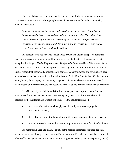One sexual abuse survivor, who was forcibly restrained while in a mental institution, continues to relive the horror through nightmares. In her testimony about the traumatizing incident, she stated:

*Eight men jumped on top of me and wrestled me to the floor. They held me face-down on the floor, restrained me, and then shot me up [with] Thorazine. I then waited in restraints for hours until they thought my behavior was appropriate to be released. I remember begging with them like a dog to release me. I was totally powerless and at their mercy.* (Marcie Kelley)

For someone who has survived sexual abuse or who is a victim of rape, restraints are especially abusive and traumatizing. However, many mental health professionals may not recognize this danger. *Victim Empowerment: Bridging the Systems—Mental Health and Victim Service Providers*, a resource manual produced with a grant from DOJ's Office for Victims of Crime, reports that, historically, mental health counselors, psychologists, and psychiatrists have not received extensive training in victimization issues. At the Erie County Rape Crisis Center in Pennsylvania, for example, approximately 25 percent of clients who were victims of sexual assault/abuse or other crimes were also receiving services at one or more mental health programs.

A 1997 report by the California P&A describes a pattern of improper seclusion and restraint use from 1994 to 1996 at Napa State Hospital (NSH), one of four state hospitals operated by the California Department of Mental Health. Incidents included:

- the death of a deaf man with a physical disability who was improperly restrained in a chair;
- the unlawful restraint of two children with hearing impairments in their beds; and
- the seclusion of a child with a hearing impairment in a closet full of soiled linens.

For more than a year and a half, one unit at the hospital repeatedly secluded patients. When the abuse was finally reported by a staff member, the shift leader successfully encouraged other staff to engage in a cover-up, and to lie to management and Napa State Hospital's (NSH's)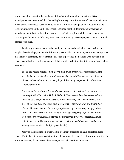senior special investigator during the institution's initial internal investigation. P&A investigators also determined that the facility's primary law enforcement officer responsible for investigating the alleged abuse failed to conduct a minimally adequate investigation into the seclusion practices on the unit. The report concluded that both felonies and misdemeanors, including assault, battery, false imprisonment, criminal conspiracy, child endangerment, and corporal punishment of a child may have been committed by NSH employees. But no criminal charges were filed.

Testimony also revealed that the quality of mental and medical services available to people labeled with psychiatric disabilities is questionable. In fact, many consumers complained that the most commonly offered treatments, such as powerful medications with adverse side effects, actually deter and frighten people labeled with psychiatric disabilities away from seeking treatment.

*The so-called side effects of many psychiatric drugs are far more noticeable than the so-called main effects. And these drugs have the potential to cause serious physical illness and even death. So, it's very logical that many people would refuse them.* (Judi Chamberlin)

*I just want to mention a few of the real hazards of psychiatric drugging. The neuroleptics like Thorazine, Haldol, Mellaril, Navane—all those I was on—and now there's also Closapine and Resperdal. All of these drugs can sometimes kill. Now, a lot of our members choose to take these drugs of their own will, and that's their choice. But coercion and force are just plain wrong. In the long run, psychiatric drugs can cause persistent brain changes, making it very, very difficult to withdraw. With the neuroleptics, it peaks at three months after quitting, you can feel crazier, socalled, than you did before you started. This is a brain disability caused by the drug, keeping these people on for life.* (David Oaks)

Many of the prescription drugs used in treatment programs do have devastating side effects. Particularly in programs that treat people by force, there are few, if any, opportunities for informed consent, discussion of alternatives, or the right to refuse treatment.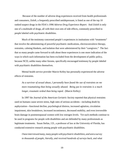Because of the number of adverse drug experiences received from health professionals and consumers, Zoloft, a frequently prescribed antidepressant, is listed as one of the top 10 ranked suspect drugs in the FDA's *1996 Adverse Drug Experience Report*. And Zoloft is only one of a multitude of drugs, all with their own sets of side effects, commonly prescribed to people labeled with psychiatric disabilities.

Much of the testimony concerned people's experiences in institutions with "treatments" that involve the administering of powerful psychiatric medications, electroconvulsive therapy, restraints, calming blankets, and isolation that were administered by their "caregivers." The fact that so many people came forward to talk about these experiences is one more indication of the ways in which such information has been excluded from the development of public policy, because NCD, unlike many other forums, specifically encouraged testimony by people labeled with psychiatric disabilities themselves.

Mental health service provider Marcie Kelley has personally experienced the adverse effects of restraints.

*As a survivor of sexual abuse, I personally have found the use of restraints on me more traumatizing than being sexually abused. Being put in restraints is a much longer, traumatic ordeal than being raped.* (Marcie Kelley)

In 1997 the *Journal of the American Geriatric Society* reported that physical restraints used on humans cause severe stress, high rates of serious accidents—including death by asphyxiation—functional decline, psychological distress, increased agitation, circulation impairment, skin breakdown, increased incontinence, decreased mobility, and even irreversible brain damage in postmenopausal women with low estrogen levels. Yet such methods continue to be used in programs for people with disabilities and are defended by many professionals as legitimate treatments. Susan Stefan, J.D., a professor of law at the University of Florida, has conducted extensive research among people with psychiatric disabilities.

*I have interviewed many, many people with psychiatric disabilities, and sent a survey to thousands of people, literally, and received hundreds of surveys back, and what*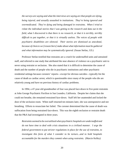*the surveys are saying and what the interviews are saying are that people are dying, being injured, and sexually assaulted in institutions. They're being ignored and overmedicated. They're dying and being damaged in restraints. When I tried to relate the individual stories that I was getting to the research and data out in the field, what I discovered is that there is no research, or that it is terribly, terribly difficult to put together, or that it is virtually useless. The voices of people with psychiatric disabilities are silenced. Their stories are dismissed as anecdotal, because of choices we [researchers] make about what information must be gathered and what information may be systematically ignored.* (Susan Stefan, J.D.)

Professor Stefan testified that restraints are a crutch for understaffed units and untrained staff, and referred to one study that attributed the near absence of violence on a psychiatric unit to never using restraint or seclusion. She also stated that it is difficult to determine the cause of death and the number of people who die in psychiatric institutions and other psychiatric residential settings because coroners' reports—except for obvious suicides—typically list the cause of death as cardiac arrest, which is questionable since many of the people who die are relatively young and have no previous history of cardiac problems.

In 1994, a 47-year-old grandmother of four was placed face-down in five-point restraints at John George Psychiatric Pavilion in San Leandro, California. Despite her claims that she could not breathe, she remained restrained face-down. Staff left her unattended and locked the door of the seclusion room. When staff returned ten minutes later, she was unresponsive and not breathing. Efforts to resuscitate her failed. The coroner determined that the cause of death was suffocation from being restrained face-down. This was the eighth seclusion or restraint death that the P&A had investigated in three years.

*Restraints seemed to be overutilized when psychiatric hospitals are understaffed and do not have time to deal with crisis situations in a civilized manner. I urge the federal government to put stricter regulations in place for the use of restraints, to investigate this form of what I consider to be torture...and to hold hospitals accountable for the murders they commit when using restraints.* (Marcie Kelley)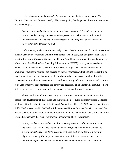Kelley also commented on *Deadly Restraints*, a series of articles published in *The Hartford Courant* from October 10–15, 1998, investigating the illegal use of restraints and other aversive therapies.

*Recent reports by the* Courant *indicate that between 50 and 150 deaths occur every year across the country due to patients being restrained. This statistic is drastically underestimated, since many deaths from restraints go unreported or are covered up by hospital staff.* (Marcie Kelley)

Unfortunately, medical examiners rarely connect the circumstances of a death to restraints illegally used by hospital staff, which further complicates investigation and prosecution. As a result of the *Courant*'s series, Congress held hearings and legislation was introduced on the use of restraints. The Health Care Financing Administration (HCFA) recently announced new patient protection standards as a condition for participating in the Medicare and Medicaid programs. Psychiatric hospitals are covered by the new standards, which include the right to be free from restraints and seclusion in any form when used as a means of coercion, discipline, convenience, or retaliation. Nonetheless, if past history is any indication, restraints will continue to be used whenever staff members decide they are necessary, and patients will continue to have little recourse, since restraints are still considered a legitimate form of treatment.

The HCFA has regulations restricting restraint use in intermediate care facilities for people with developmental disabilities and in nursing homes, but in testimony before Congress, William J. Scanlon, the director of the General Accounting Office's (GAO) Health Financing and Public Health Issues within the Health, Education, and Human Services Division, reported that despite such regulations, more than one in four nursing homes nationwide have serious and often repeated deficiencies that result in immediate jeopardy and harm to residents.

*In brief, we found that neither complaint investigations nor enforcement practices are being used effectively to ensure adequate care for nursing home residents. As a result, allegations or incidents of serious problems, such as inadequate prevention of pressure sores, failure to prevent accidents, and failure to assess residents' needs and provide appropriate care, often go uninvestigated and uncorrected. Our work*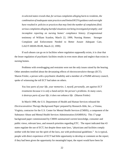*in selected states reveals that, for serious complaints alleging harm to residents, the combination of inadequate state practices and limited HCFA guidance and oversight have resulted in policies or practices that may limit the number of complaints filed; serious complaints alleging harmful situations not being investigated promptly; and* incomplete reporting on nursing homes' compliance history. (Congressional testimony of William Scanlon, March 22, 1999, Nursing Homes: Stronger Complaint and Enforcement Needed to Better Assure Adequate Care, GAO/T-HEHS-99-89, March 22, 1999)

If such abuses can go on in facilities where regulation supposedly exists, it is clear that the lesser regulation of psychiatric facilities results in even more abuse and neglect than exists in nursing homes.

Problems with overdrugging and restraints were not the only issues raised by the hearing. Other attendees testified about the devastating effects of electroconvulsive therapy (ECT). Sharon Frieler, a person with a psychiatric disability and a member of a PAIMI advisory council, spoke of witnessing the toll ECT had taken on others.

*You lose parts of your life, your memories. I, myself, personally, am against ECT treatments because it is only a band-aid for the person's problems. In many cases, it destroys parts of your life; it does not enhance life.* (Sharon Frieler)

In March 1998, the U.S. Department of Health and Human Services released the *Electroconvulsive Therapy Background Paper* prepared by Research-Able, Inc., a Vienna, Virginia, contractor for the U.S. Center for Mental Health Services (CMHS), a component of the Substance Abuse and Mental Health Services Administration (SAMHSA). This 17-page background paper commissioned by CMHS summarized current knowledge, consumer and public views, relevant laws, and research priorities regarding ETC. The report indicated that 43 states regulate the use of ECT, but despite these state laws, "physicians and facilities comply neither with the letter nor the spirit of the laws, nor with professional guidelines." As is typical, people with direct experience of ECT had little opportunity to develop or comment on the report; if they had been given the opportunity for meaningful input, the report would have been far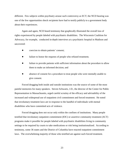different. Few subjects within psychiatry arouse such controversy as ECT; the NCD hearing was one of the few opportunities shock recipients have had to testify publicly to a government body about their experiences.

Again and again, NCD heard testimony that graphically illustrated the overall loss of rights experienced by people labeled with psychiatric disabilities. The Wisconsin Coalition for Advocacy, for example, conducted in-depth interviews at a psychiatric hospital in Madison and uncovered:

- coercion to obtain patients' consent;
- failure to honor the requests of people who refused treatment;
- failure to provide patients with sufficient information about the procedure to allow them to make an informed decision; and
- absence of consent for a procedure to treat people who were mentally unable to give consent.

Forced drugging both inside and outside institutions was the source of some of the most painful memories for many speakers. Steven Schwartz, J.D., the director of the Center for Public Representation in Massachusetts, urged careful scrutiny of the efficacy and advisability of the increased and widespread use of outpatient civil commitment and forced treatment. He noted that involuntary treatment laws are in response to the handful of individuals with mental disabilities who have committed acts of violence.

Forced drugging does not occur only within the confines of institutions. Many people testified that involuntary outpatient commitment (IOC) or assertive community treatment (ACT) programs make it possible for people labeled with psychiatric disabilities living in community settings to be required by courts to take medications or risk being institutionalized. According to testimony, some 36 states and the District of Columbia have enacted outpatient commitment laws. The overwhelming majority of those who testified are against such forced treatment.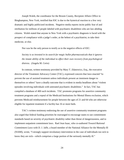Joseph Walsh, the coordinator for the Broom County, Recipient Affairs Office in Binghampton, New York, testified that IOC is due to the hysterical reaction to a few very dramatic and highly publicized incidents. Negative media reports incite public fear of and retribution for millions of people labeled with psychiatric disabilities who are law-abiding citizens. Walsh stated that anyone in New York with a psychiatric diagnosis is faced with the prospect of compliance with a judge's order, at the behest of a psychiatrist, to take their medicine, or else.

Nor was he the only person to testify as to the negative effects of IOC:

*Society is so invested in its search for magic bullet pharmaceuticals that it ignores the innate ability of the individual to effect their own recovery from psychological distress.* (Angela M. Cerio)

In contrast, written testimony provided by Mary T. Zdanowicz, Esq., the executive director of the Treatment Advocacy Center (TAC), expressed concern that laws enacted "to prevent the use of assisted treatment unless individuals present an imminent danger to themselves or others" have a deadly outcome that is evident in media headlines about "violent episodes involving individuals with untreated psychiatric disabilities." In fact, TAC has compiled a database of 400 such incidents. TAC promotes programs for assertive community treatment programs and a repeal of the Medicaid Institutions for Mental Illness exclusion, which prevents Medicaid reimbursement for people between the ages of 21 and 64 who are otherwise eligible for inpatient treatment if a facility has 16 or more beds.

TAC's written testimony endorsing the use of assertive community treatment programs also urged that federal funding priorities be rearranged to encourage states to use commitment standards based on severity of psychiatric disability rather than threat of dangerousness, and to implement outpatient commitment laws. Rael Jean Isaac, who co-authored *Toward Rational Commitment Laws* with D. J. Jaffe, a board member of the National Alliance for the Mentally Ill (NAMI), wrote, "I strongly support involuntary intervention in the case of individuals too sick to know they are sick—which comprises a large portion of the seriously mentally ill."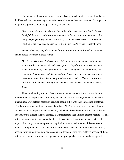One mental health administrator described TAC as a well-funded organization that uses double-speak, such as referring to outpatient commitment as "assisted treatment," to appeal to the public's ignorance about people with psychiatric labels.

*[TAC] argues that people who reject mental health services are too "sick" to have "insight" into our conditions, and thus must be forced to accept treatment. For many people [with psychiatric disabilities], rejecting these services is a rational reaction to their negative experiences in the mental health system.* (Darby Penney)

Steven Schwartz, J.D., of the Center for Public Representation framed his argument against forced treatment in these terms:

*Massive deprivations of liberty to possibly prevent a small number of incidents should not be countenanced under our system. Legislatures in states that have rejected abandoning civil liberties in the name of treatment, the softening of civil commitment standards, and the imposition of more forced treatment are under pressure to enact laws that make forced treatment easier. There is substantial literature from which to argue forced treatment does not work.* (Steven Schwartz,  $J.D.$ 

The overwhelming amount of testimony concerned the harmfulness of involuntary interventions on people's sense of dignity and self-worth, and, further, contended that such interventions were seldom helpful in assisting people either with their immediate problems or with their long-range ability to improve their lives. NCD heard numerous eloquent pleas for services that were responsive and respectful, and which allowed recipients the same rights and freedoms other citizens take for granted. It is important to keep in mind that the hearing was one of the rare opportunities for people labeled with psychiatric disabilities themselves to be the major voice in a government-sponsored inquiry into mental health issues. It is common for mental health policy discussions never to mention words such as "involuntariness" or "force," because these topics are seldom addressed except by people who have suffered because of them. In fact, there seems to be a tacit acceptance among policymakers and the media that people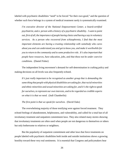labeled with psychiatric disabilities "need" to be forced "for their own good," and the question of whether such force belongs in a system of medical treatment rarely is systematically examined.

*I'm executive director of the National Empowerment Center, a board-certified psychiatrist, and a person with a history of a psychiatric disability. I want to point out, first of all, the importance of people having choice and having a say in voluntary services. As a person who recovered from schizophrenia, I find that the most important elements are having a trusting relationship with somebody who cares about you and can understand you and get to know you, and make it worthwhile for you to return to the community and to some productive role. It's also important that people have resources, have education, jobs, and that these not be under coercive conditions.* (Daniel Fisher)

The independent living movement's demand for self-determination in crafting policy and making decisions on all levels was also frequently echoed.

*It's just really important to be recognized as another group that is demanding the same thing that people with physical disabilities are asking for, that racial minorities and ethnic minorities and sexual minorities are asking for, and it's the right to speak for ourselves, to represent our own interests, and to be regarded as credible experts on what it is that we need.* (Judi Chamberlin)

*The first point is that we speak for ourselves.* (David Oaks)

The overwhelming majority of those testifying were against forced treatment. They echoed feelings of abandonment, helplessness, and vulnerability, and called for a total ban of all involuntary treatment and outpatient commitment laws. They also related many stories showing that involuntary treatments are often used when people are not dangerous to themselves or others but only bothersome to relatives or neighbors.

But the popularity of outpatient commitment and other laws that force treatments on people labeled with psychiatric disabilities both inside and outside institutions shows a growing hostility toward these very real sentiments. It is essential that Congress and policymakers hear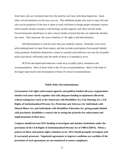from those who are victimized and view the need for such laws with deep skepticism. Quite often, forced treatments are the easy way out. They debilitate people who want to enjoy life and who can be productive if the time is taken to work with them to design proper treatment courses, which usually include assistance with housing, income supports, and other real-life needs. Forced treatments should have to meet a heavy burden of proof that they are indeed the absolute last resort. They represent the worst violations of the right to self-determination.

Self-determination is vital for more than just symbolic reasons. Detached, ivory tower policymaking based on input from experts, and that excludes participation from people labeled with psychiatric disabilities themselves, results in wasteful and ineffective one-size-fits-all public policy that doesn't efficiently meet the needs of those it is intended to serve.

NCD has developed and endorsed a wide array of public policy resolutions and recommendations. Most of them relate to the 10 core recommendations. Much of the body of the larger report lead to the development of those 10 critical recommendations.

#### **Public Policy Recommendations**

**Government civil rights enforcement agencies and publicly funded advocacy organizations should work more closely together and with adequate funding to implement effectively critical existing laws such as the Americans with Disabilities Act, Fair Housing Act, Civil Rights of Institutionalized Persons Act, Protection and Advocacy for Individuals with Mental Illness Act, and Individuals with Disabilities Education Act, giving people labeled with psychiatric disabilities a central role in setting the priorities for enforcement and implementation of these laws.** 

**Congress should increase DOJ funding to investigate and monitor institutions under the provisions of the Civil Rights of Institutionalized Persons Act of 1980 (CRIPA). When a pattern of abuse and patient rights violations occur, DOJ should promptly investigate and, if warranted, prosecute. Negotiated agreements to improve conditions are worthless if the provisions of such agreements are not monitored to ensure compliance.**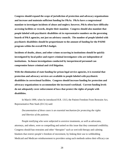**Congress should expand the scope of jurisdiction of protection and advocacy organizations and increase and maintain sufficient funding for P&As. P&As have a congressional mandate to investigate incidents of abuse and neglect; however, P&As often have difficulty accessing facilities or records, despite their mandate. Congress should also mandate that people labeled with psychiatric disabilities sit in representative numbers on the governing boards of P&A agencies, not just on advisory councils. The number of people labeled with psychiatric disabilities should be proportionate to the amount of funding for the PAIMI program within the overall P&A budget.**

**Incidents of deaths, abuse, and other crimes occurring in institutions should be quickly investigated by local police and expert criminal investigators who are independent of institutions. In-house investigations conducted by inexperienced personnel can compromise future criminal and civil litigation.** 

**With the elimination of state funding for prison legal service agencies, it is essential that protection and advocacy services are available to people labeled with psychiatric disabilities in correctional facilities. Congress should increase funding for protection and advocacy organizations to accommodate the increased workload. Current funding levels do not adequately cover enforcement of laws that protect the rights of people with disabilities.**

In March 1999, when he introduced H.R. 1313, the Patient Freedom From Restraint Act, Representative Pete Stark (D-CA) said:

*Documentation of these cases is an essential mechanism for protecting the rights and liberties of the patients.*

People testifying who were subjected to aversive treatments, as well as advocates, attorneys, and others, were so compelling and united on this issue that they command credibility. Congress should ban restraints and other "therapies" such as wet/cold therapy and calming blankets that restrict people's freedom of movement, by linking their use to withholding Medicaid and Medicare reimbursement to providers using such methods unless their efficacy can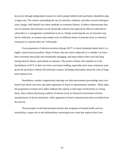be proven through independent research in which people labeled with psychiatric disabilities play a major role. The culture surrounding the use of restraints, isolation, and other aversive therapies must change. Staff should view these methods as treatment failures. Evidence demonstrates that use of restraints and seclusion can be drastically reduced and replaced by effective alternatives when there is a management commitment to do so. Simply restricting the use of restraints may not be sufficient, as systems may simply move to different forms of restraint (such as chemical restraints) or continue their use "informally."

Even proponents of electroconvulsive therapy (ECT or shock treatment) admit that it is a highly controversial procedure. Many of those who have been subjected to it consider it to have been extremely physically and emotionally damaging, and many believe that it has had longlasting adverse effects, particularly on memory. The stories of those who testified as to the harmfulness of ECT in their own lives were heart-rending, especially since many witnesses were given the procedure without full informed consent, including information about the risks of longterm memory loss.

Nonetheless, neither congressional hearings nor other government proceedings have ever heard from shock survivors and other opponents of shock in representative numbers. More often, the proponents of shock have either authored the reports or had major involvement in writing them, often without disclosing conflicts of interest (such as financial involvement with the manufacturers of shock machines), while opponents of shock treatment have been excluded from the process.

The principles of self-determination dictate that recipients of mental health services should play a major role in the deliberations concerning every issue that impacts their lives.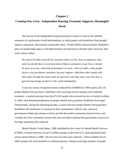## **Chapter 2**

# **Creating New Lives: Independent Housing, Economic Supports, Meaningful Work**

The success of the independent living movement in America is due to the authentic resonance of a philosophy of self-determination, in which people with disabilities find strength, support, inspiration, and expertise among their peers. People labeled with psychiatric disabilities place an equally high value on self-determination and interaction with their peers; however, they rarely achieve either.

*We want to be able to decide for ourselves where we live, how we spend our time, and if we decide that we need some kind of help or assistance in our lives, it should be up to us to say...what kind of assistance we need. And very often...what people desire is not psychiatric assistance but peer support—help from other people who have gone through the same kinds of experience that they have, and who have a gut-level knowledge of what it's like.* (Judi Chamberlin)

A one-day census of inpatient clients conducted by SAMHSA in 1994 reports 236,110 people labeled with psychiatric disabilities were receiving 24-hour hospital and residential treatment—a marked decrease from the 471,452 people who received services at similar facilities in 1969, when deinstitutionalization of people labeled with psychiatric disabilities first began. Unfortunately, during the following decades, as more and more people labeled with psychiatric disabilities left institutions or remained in their communities, federal, state, and local governments failed and continue to fail to provide the needed community-based services, and virtually all of the community services that were provided continued the paternalistic practices of the large institutions they replaced.

*Mental Health, United States, 1998,* published by the Center for Mental Health Services (CMHS), estimates between 10 and 13 million people in the entire U.S. adult population had a serious mental illness in 1990—the last year such data were collected. (These numbers do not reflect people who were homeless or institutionalized.) Despite such large numbers of people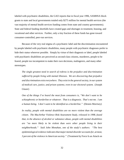labeled with psychiatric disabilities, the GAO reports that in fiscal year 1996, SAMHSA block grants to state and local governments totaled only \$275 million for mental health services (the vast majority of mental health services funding comes from state and country governments). State and federal funding shortfalls have created gaps and shortages in treatment, housing, and vocational and other services. Further, only a tiny fraction of these funds has gone toward consumer-controlled, peer-run services.

Because of the very real stigma of a psychiatric label and the discrimination encountered by people labeled with psychiatric disabilities, many people with psychiatric diagnoses prefer to hide their status wherever possible. Simply by virtue of their diagnosis or label, people labeled with psychiatric disabilities are perceived as second-class citizens, murderers, people to be feared, people too incompetent to make their own decisions, malingerers, and many other stereotypes.

*The single greatest need in search of redress is the prejudice and discrimination suffered by people living with mental illnesses. We are discovering that prejudice and discrimination exist everywhere. They exist in the general society, in our system of medical care, justice, and prison systems; even in our electoral system.* (Joseph Glazer)

*One of the things I've heard the most from consumers is, "We don't want to be schizophrenic or borderline or whatever. That is a diagnosis. That's not me. I am a human being. I don't want to be identified as a borderline."* (Dennis Morrisey)

*In reality, people with mental disabilities are no more violent than the average citizen. The MacArthur Violence Risk Assessment Study, released in 1998, found that, in the absence of alcohol or substance abuse, people with mental disabilities are "no more likely to be violent than were other people living in their neighborhoods." Said John Monahan, one of the study's authors: "The best epidemiological evidence indicates that major mental disorder accounts for, at most, 3 percent of the violence in American society."* (Treatment by Force Is an Attack on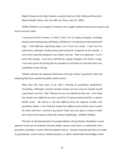Rights Perspective by Sally Zinman, executive director of the California Network of Mental Health Clients, *San Jose Mercury News,* June 20, 1999.)

Debbie Whittle is an example of someone who sought treatment from private sources and never received a label.

*I experienced early trauma, to which I had a set of coping strategies, including disassociation, fantasizing, self-blame, self-hatred. I was afraid of confrontation and rage. I had difficulty expressing anger, yet I cried very easily. I had very low self-esteem, although I looked pretty good and fairly competent on the outside....I never knew what that diagnosis was, if there was one. That is so important. I can't stress that enough. I was never told that my coping strategies were bad or wrong. I was never given the feeling that my attempts to seek help were because there was something wrong with me.*

Whittle reiterates the important distinction of living without a psychiatric label and obtaining help from outside the public health system.

*What does this story have to do with a hearing on psychiatric disabilities? Everything. Although I consider myself a trauma survivor, I do not consider myself a psychiatric survivor. Why? Because no one ever labeled me that way. I can't help but wonder how different my story would be if I had presented myself to a mental health center. My history is not that different from the majority of folks with psychiatric labels. I can't help but wonder how different most of their stories would be if they had never received a psychiatric label, but were given a chance to heal their losses and traumas without the shame of pathology.* (Debbie Whittle)

The lack of self-determination for people labeled with psychiatric disabilities is most apparent in the area of treatment, because unlike a person with cancer, an individual with a psychiatric disability is rarely offered treatment choices. Instead, treatment decisions are made by psychiatrists, social workers, family members, or others without their knowledge or their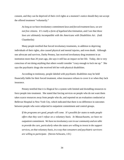consent, and they can be deprived of their civil rights at a moment's notice should they not accept the offered treatment "voluntarily."

*As long as we have involuntary commitment laws and forced treatment laws, we are not free citizens. It's really a form of legalized discrimination, and I see that these laws are ultimately incompatible with the Americans with Disabilities Act.* (Judi Chamberlin)

Many people testified that forced involuntary treatments, in addition to depriving individuals of their rights, also caused physical and mental injuries, and even death. Although one advocate and survivor, Darby Penney, last received involuntary drug treatment in an institution more than 20 years ago, she says it still has an impact on her life. Today, she is very conscious of not doing anything that others would consider "crazy enough to lock me up." She says the psychiatric drugs she received left her with physical disabilities.

According to testimony, people labeled with psychiatric disabilities may be held financially liable for their forced treatment, when insurance refuses to cover it or when they lack insurance.

Penney testified that it is illogical for a system with limited and dwindling resources to force people into treatment. She stated that forcing services on people who do not want them takes scarce resources away from people who do, and reported on an evaluation conducted at Bellevue Hospital in New York City, which indicated that there is no difference in outcomes between people who were subjected to outpatient commitment and control groups.

*If the programs are good, people will come. It's possible for states to make people offers that they won't refuse on a voluntary basis. In Massachusetts, we have no outpatient commitment. We have no involuntary care in our community and are able to provide the care, particularly when the states are willing to invest in the support services, on that voluntary basis, in a way that consumers and psychiatric survivors are willing to participate.* (Steven Schwartz, J.D.)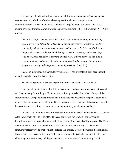Because people labeled with psychiatric disabilities encounter shortages of voluntary treatment options, a lack of affordable housing, and insufficient or inappropriate community-based services, many remain in hospitals or jails, or are homeless. John Rio, a housing advocate from the Corporation for Supportive Housing (CSH) in Manhattan, New York, testified:

*One of the things, from my experiences in the field of mental health, is that a lot of people are in hospitals and in jails and held there unnecessarily, or released into the community without adequate community-based services. At CSH, we think that integrated services can be provided through supportive housing; and one strategy is to try to...pose a solution to this kind of a problem. Unfortunately, we don't have enough, and we need more help with changing policies that support the growth of supportive housing and integrated community services.* (John Rio)

People in institutions are particularly vulnerable. They are isolated from peer support networks and also from legal advocates.

### *They isolate you and they become your only reference point.* (Diana Rickard)

Once people are institutionalized, they may remain in there long after treatment has ended and they are ready for discharge. For example, testimony revealed that in New Jersey, of the approximately 2,000 people institutionalized in five state-run psychiatric hospitals, about 45 to 50 percent of them have been determined to no longer meet any standard of dangerousness, but they continue to be confined because not enough community services are available.

In June 1999, the Supreme Court issued an important decision in *Olmstead v. L.C.*, which tested the strength of Title II of ADA. The case concerned two women with psychiatric disabilities who asked to receive services in their communities instead of institutions. The Court ruled that when a professional determines that a person with a disability can live in the community effectively, he or she *must* be offered this choice. To do otherwise is discrimination. There are several caveats in the Court's decision, however. Individuals cannot self-determine where they receive services, and they can receive community-based services *only* if such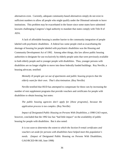alternatives exist. Currently, adequate community-based alternatives simply do not exist in sufficient numbers to allow all people who might qualify under the Olmstead rationale to leave institutions. This problem may be exacerbated in the future since some states have submitted lawsuits challenging Congress's legal authority to mandate that states comply with Title II of ADA.

A lack of affordable housing is another barrier to the community integration of people labeled with psychiatric disabilities. A federal law some people cited as exacerbating the shortage of housing for people labeled with psychiatric disabilities was the Housing and Community Development Act of 1992. Among other things, this law allows public housing authorities to designate for use exclusively by elderly people units that were previously available to both elderly people and to younger people with disabilities. Thus, younger persons with disabilities are no longer eligible to move into these federally funded buildings. Roy Neville, a housing advocate, testified:

*Mentally ill people got cut out of apartments and public housing projects that the elderly want for their own. That's discrimination.* (Roy Neville)

Neville testified that HUD has attempted to compensate for these cuts by increasing the number of rent supplement programs that provide vouchers and certificates for people with disabilities to obtain housing, but notes:

*The public housing agencies don't apply for [these programs], because the application process is too complex.* (Roy Neville)

*Impact of Designated Public Housing on Persons With Disabilities*, a 1998 GAO report, however, concluded that the 1992 law has "had little impact" on the availability of public housing for people with disabilities. But it also noted:

*It is too soon to determine the extent to which the Section 8 rental certificates and vouchers set aside for persons with disabilities have helped meet this population's needs.* (Impact of Designated Public Housing on Persons With Disabilities, GAO/RCED-98-160, June 1998)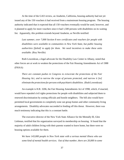At the time of the GAO review, an Anaheim, California, housing authority had not yet issued any of the 150 vouchers it had received from a mainstream housing program. The housing authority indicated that it expected that all 150 vouchers eventually would be used, however, and it planned to apply for more vouchers since it had 1,500 persons with disabilities on its waiting list. Apparently, this problem extends beyond Anaheim, as Neville testified:

*Last summer, over 7,000 Section 8 new certificates and vouchers for people with disabilities were available to communities in New York State, but public housing authorities [failed] to apply for them. We need incentives to make these units available.* (Roy Neville)

Ruth Lowenkran, a legal advocate for the Disability Law Center in Albany, noted that other forces are at work to weaken the protections of the Fair Housing Amendments Act of 1988 (FHAA):

*There are constant pushes in Congress to eviscerate the protections of the Fair Housing Act, and to narrow the scope of persons protected, and narrow it [to] eliminate the protections for persons with psychiatric disabilities.* (Ruth Lowenkran)

An example is H.R. 3206, the Fair Housing Amendments Act of 1998, which, if enacted, would have repealed civil rights protections for people with disabilities and subjected them to renewed discrimination by zoning officials and hostile neighbors. The bill also would have permitted local governments to completely zone out group homes and other community living arrangements. Disability advocates succeeded in fending off this threat. However, there was much testimony indicating that this is a constant battle.

The executive director of the New York State Alliance for the Mentally Ill, Glen Liebman, testified that his organization surveyed its membership on housing. It found that the majority of adult children living with their parents wanted to leave home, but there were no housing options available for them.

*We have 143,000 people in New York state with a serious mental illness who use some kind of mental health services. Out of that number, there are 20,000 in some*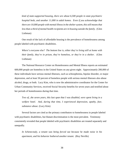*kind of state-supported housing, there are about 6,500 people in state psychiatric hospital beds, and another 11,000 in adult homes. Even if you acknowledge that there are 10,000 people with mental illness in the shelter system, this still means that less than a third of mental health recipients are in housing outside the family.* (Glen Liebman)

One result of the lack of affordable housing is the prevalence of homelessness among people labeled with psychiatric disabilities.

*Where's everyone else? The bottom line is, either they're living still at home with their family, they're in prison, they're homeless, or they're in a shelter.* (Glen Liebman)

The National Resource Center on Homelessness and Mental Illness reports an estimated 600,000 people are homeless in the United States on any given night. Approximately 200,000 of these individuals have serious mental illnesses, such as schizophrenia, bipolar disorder, or major depression, and at least 50 percent of homeless people with serious mental illnesses also abuse alcohol, drugs, or both. Lucy Kim, who is now the administrative coordinator for the Center for Urban Community Services, received Social Security benefits for seven years and testified about her periods of homelessness during that time.

*Two of...the seven years, this last span that I was disabled, were spent living in a welfare hotel. And, during that time, I experienced depression, apathy, fear, substance abuse.* (Lucy Kim)

Several factors are cited as the primary contributors to homelessness in people labeled with psychiatric disabilities, but blatant discrimination is the most prevalent. Testimony consistently revealed that people labeled with psychiatric disabilities are treated separately and unequally.

*In Schenectady, a tenant was being forced out because he made noise in his apartment, and his behavior bothered another tenant.* (Roy Neville)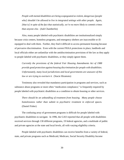*People with mental disabilities are being scapegoated as violent, dangerous [people who] shouldn't be allowed to live in integrated settings with other people. Again, [that is] in spite of the fact that statistically, we're no more likely to commit crimes than anyone else.* (Judi Chamberlin)

Also, many people labeled with psychiatric disabilities are institutionalized simply because crisis centers, homeless programs, and emergency shelters are inaccessible or illequipped to deal with them. Further, they find it difficult to access permanent housing because of pervasive discrimination. Even with the current FHAA protections in place, landlords and local officials either are unfamiliar with the antidiscrimination provisions of the law as they apply to people labeled with psychiatric disabilities, or they simply ignore them.

*Currently the provisions of the federal Fair Housing Amendments Act of 1988 provide good protection against housing discrimination for people with disabilities. Unfortunately, many local jurisdictions and local governments are unaware of this law or are trying to overturn it.* (Stacie Hiramoto)

Testimony also revealed that mandatory participation in programs and services, such as substance abuse programs or more often "medication compliance," is frequently required by people labeled with psychiatric disabilities as a condition to obtain housing or other services.

*There should be an unbundling of treatment from housing. Many people choose homelessness rather than submit to psychiatric treatment in enforced spaces.* (Daniel Fisher)

The confusing array of government programs is difficult for people labeled with psychiatric disabilities to navigate. In 1996, the GAO reported that all people with disabilities received services through 130 different programs, 19 federal agencies, and a multitude of public and private agencies at the state and local levels, all with varying eligibility criteria.

People labeled with psychiatric disabilities can receive benefits from a variety of federal, state, and private programs such as Medicaid, Medicare, Social Security Disability Income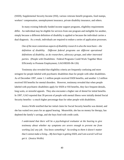(SSDI), Supplemental Security Income (SSI), various veterans benefit programs, food stamps, workers' compensation, unemployment insurance, private disability insurance, and others.

In many existing federally funded income support programs, eligibility requirements differ. An individual may be eligible for services from one program and ineligible for another, simply because a different definition of disability is applied or because the individual carries a dual diagnosis. As a result, individuals are required to endure a series of application processes.

*One of the most contentious aspects of disability research is also the most basic—the definition of disability. Different federal programs use different operational definitions of disability, as do researchers, advocacy groups, and other interested parties.* (People with Disabilities: Federal Programs Could Work Together More Efficiently to Promote Employment, GAO/HEHS-96-126)

Testimony also revealed that eligibility criteria are frequently confusing and more stringent for people labeled with psychiatric disabilities than for people with other disabilities. As of December 1997, some 1.1 million people received SSDI benefits, and another 1.2 million received SSI benefits for mental disorders. However, testimony revealed that when people labeled with psychiatric disabilities apply for SSDI or SSI benefits, they face frequent denials, long waits, or stressful appeals. They also encounter a higher rate of denial for initial benefits. In 1997, GAO reported that 39 percent of people with mental illness were initially denied Social Security benefits—a much higher percentage than for other people with disabilities.

Jessica Wolfe testified that her initial claim for Social Security benefits was denied, and she has waited two years for an appeal hearing. Meanwhile, she has no money for therapy, has depleted the family's savings, and she buys food with credit cards.

*I understand that there will be a psychological evaluator at the hearing to give testimony about whether my symptoms are severe enough to prevent me from working [at] any job. You know something? According to them it doesn't matter that I cannot make a living....My best hope is getting SSDI, and I am scared I will not get it.* (Jessica Wolfe)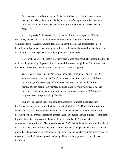*As my consumers and my people get to the point where their mental illness prevents them from working, the first hurdle they face is that the applications that they have to fill out for disability and SSI have nothing to do with mental illness.* (Dennis Morrisey)

According to GAO, differences in assessments of functional capacity, different procedures, and weaknesses in quality reviews contributed to the Social Security Administration's (SSA) inconsistent decisions. In 1994, SSA began implementation of a disability redesign process that, among other things, will eventually streamline the claims and appeals process. It is expected to be fully implemented in FY 2001.

Roy Neville expressed concern that many people who have psychiatric disabilities but do not have a long-standing diagnosis of severe mental illness are ineligible for SSI or have been dropped from SSI rolls, and are left without financial or other supports.

*These people drop out of the safety net...and [are] made to get into the welfare-to-work requirements. They're being cut out of food stamps and child care, job training, and emergency food. And some of them are mothers with children. The number of poor people who visit food pantries in New York is rising rapidly. And there needs to be a safety net for these people who have mental disabilities in the welfare-to-work program.* (Roy Neville)

Employer-sponsored short- and long-term disability insurance plans frequently discriminate against people labeled with psychiatric disabilities. NCD heard testimony from a former employee of a Fortune 500 company who received almost six months of short-term disability payments from her employer of three years. But before she was eligible for long-term disability benefits, she was notified that her benefits would end. A few days later, her employment was terminated. She currently receives SSDI, but believes that she would not have been denied long-term disability benefits if her disability were not psychiatric. She has filed a lawsuit based on discriminatory treatment. This case is not an isolated example but is typical of long-term disability insurance practice of unequal benefits for psychiatric versus physical disabilities.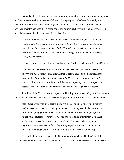People labeled with psychiatric disabilities who attempt to return to work face numerous hurdles. State-federal vocational rehabilitation (VR) programs, which are directed by the Rehabilitation Services Administration (RSA) and which deliver services through state and privately operated agencies that provide education or training, have not been notably successful in assisting people labeled with psychiatric disabilities.

*GAO did find that states purchased more services for clients with physical than with mental disabilities, more for clients with severe than with non-severe disabilities, and more for white clients than for black, Hispanic, or American Indian clients.* (Vocational Rehabilitation: Evidence for Federal Program's Effectiveness Is Mixed, GAO, August 1993)

It appears little has changed in the ensuing years. Bernice Loschen testified to NCD that:

*People labeled with psychiatric disabilities need to be given equal treatment services as everyone else, so they'll have a fair chance to get the advocacy help that they need to get a job, [the same] as any other client of [VR], as persons who use wheelchairs, who are blind, and who are deaf—and this isn't happening now. These persons deserve [the same] dignity and respect as anyone else does.* (Bernice Loschen)

John Rio, of the Corporation for Supportive Housing in New York City, testified that new strategies are needed to place people labeled with psychiatric disabilities in worthwhile careers.

*Individuals with psychiatric disabilities have a right to employment opportunities and the services necessary to participate in America's workforce. While many areas of the country enjoy a healthier economy, our clients are not participating to the fullest extent possible. We think we need to see more involvement from the private sector, particularly in employer-based training strategies. These strategies are important because we need to help clients not just get an entry-level job but to start on a path of employment that will lead to livable wage careers.* (John Rio)

Rio testified that seven years ago the National Advisory Mental Health Council, in coordination with the federal Interdepartmental Task Force on Homelessness and Severe Mental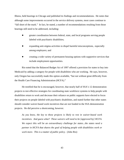Illness, held hearings in Chicago and published its findings and recommendations. He notes that although some improvements occurred in the service delivery systems, most cases continue to "fall short of the mark." In fact, he stated, a number of recommendations resulting from those hearings still need to be addressed, including:

- greater coordination between federal, state, and local programs serving people labeled with psychiatric disabilities;
- expanding anti-stigma activities to dispel harmful misconceptions, especially among employers; and
- creating a wide variety of permanent housing options with supportive services that include employment opportunities.

Rio noted that the Balanced Budget Act of 1997 offered a provision for states to buy into Medicaid by adding a category for people with disabilities who are working. He says, however, only Oregon has successfully made this option available, "but not without great difficulty from the Health Care Financing Administration (HCFA)."

He testified that he is encouraged, however, that nearly half of SSA's 12 demonstration projects to test effective strategies for coordinating state workforce systems to help people with disabilities return to work and decrease their reliance on public supports have elected to focus their projects on people labeled with psychiatric disabilities, and stated further that other states should consider waiver-based work incentives that are not funded in the SSA demonstration projects. He did perceive a shortcoming, however.

*As you know, the key to these projects is likely to rest in waiver-based work incentives. And guess what? These waivers will need to be [approved by] HCFA. We expect this will be an extraordinary challenge for states...the states need a partner in HCFA that shares the goal of helping people with disabilities work or work more. This is a matter of public policy.* (John Rio)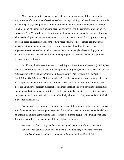Many people reported that vocational outcomes are more successful in community programs that offer a number of services, such as housing, training, and health care. An example is Next Step: Jobs, an employment initiative funded by the Rockefeller Foundation in 1995, in which 21 nonprofit supportive housing agencies partnered with the Corporation for Supportive Housing in New York to increase the rates of employment among people in supportive housing who faced multiple barriers to employment. The project demonstrated that supportive housing offered a basic, critical ingredient for positive vocational outcomes—that is, continuous case management, permanent housing, and a culture supportive of working tenants. However, it is important to note that such a model is unacceptable to many people labeled with psychiatric disabilities who want to work but will not attend programs that require them to accept other services they do not want.

In addition, the National Institute on Disability and Rehabilitation Research (NIDRR) has funded several studies that evaluate model employment programs, such as *Outcomes and Career Achievements of Persons with Professional Qualifications Who Have Severe Psychiatric Disabilities: The Minnesota Mainstream Experience*. In sharp contrast to the widely held belief that people labeled with psychiatric disabilities cannot work, or can work only at menial jobs, there are a number of program models showing that people labeled with psychiatric disabilities can obtain and retain employment if they have the supports they want. It is essential that such supports are not "one size fits all," but are individually chosen according to what the individual in question finds helpful.

Peer support is an important component of successful community reintegration; however, it is often unavailable. Several people testified that a lack of peer support for people labeled with psychiatric disabilities contributes to their isolation from other people labeled with psychiatric disabilities as well as other segments of the disability community.

*We need to find a way to have HCFA...fund the extraordinarily important consumer-run services which play a vital role in helping people to emerge from the mental health system and not remain a mental patient for life.* (Daniel Fisher)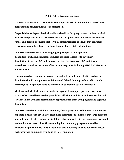#### **Public Policy Recommendations**

**It is crucial to ensure that people labeled with psychiatric disabilities have control over programs and services that directly affect them.**

**People labeled with psychiatric disabilities should be fairly represented on boards of all agencies and programs that provide services to this population and that receive federal funds. In addition, programs that serve all disabilities need to ensure that consumer representation on their boards includes those with psychiatric disabilities.**

**Congress should establish an oversight group composed of people with disabilities—including significant numbers of people labeled with psychiatric disabilities—to advise SSA and Congress on the effectiveness of SSA policies and procedures, as well as the future of its various programs, including SSDI, SSI, Medicare, and Medicaid.**

**User-managed peer support programs controlled by people labeled with psychiatric disabilities should be supported with increased federal funding. Public policy should encourage self-help approaches as the best way to promote self-determination.**

**Medicare and Medicaid waivers should be expanded to support peer-run programs. HCFA rules should be revised to provide broad latitude and financial incentives for such services, in line with self-determination approaches for those with physical and cognitive disabilities.**

**Congress should fund additional community-based programs to eliminate "warehousing" of people labeled with psychiatric disabilities in institutions. The fact that large numbers of people labeled with psychiatric disabilities who want to live in the community are unable to do so because there is insufficient funding for community programs should be considered a policy failure. The institutional bias in funding must be addressed in ways that encourage community living and self-determination.**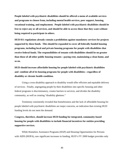**People labeled with psychiatric disabilities should be offered a menu of available services and programs to choose from, including mental health services, peer support, housing, vocational training, and employment. People labeled with psychiatric disabilities should be free to reject any or all services, and should be able to access those that they want without being required to participate in others.**

**HUD 811 regulations already contain a prohibition against mandatory services for projects supported by these funds. This should be expanded to cover all federally funded housing programs, including local and private housing programs for people with disabilities that receive federal funds. The responsibilities of tenants with disabilities should be no greater than those of all other public housing tenants—paying rent, maintaining a clean home, and so on.**

**HUD should increase affordable housing for people labeled with psychiatric disabilities and combine all of its housing programs for people with disabilities—regardless of disability or chronic health condition.** 

Using a cross-disability approach to disability would offer efficient and equitable delivery of services. Finally, segregating people by their disabilities into specific housing and other federal programs is discriminatory, creates barriers to services, and divides the disability community, as well as creating "disability ghettoes."

Testimony consistently revealed that homelessness and the lack of affordable housing for people labeled with psychiatric disabilities are major concerns, an indication that existing HUD funding levels do not meet the demand.

**Congress, therefore, should increase HUD funding for integrated, community-based housing for people with disabilities to include financial incentives for entities providing supportive services.**

While Homeless Assistance Programs (HAP) and Housing Opportunities for Persons with AIDS (HOPA), saw significant increases in funding, HUD's FY 2000 budget provides only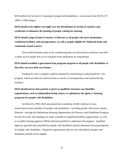\$194 million for Section 811 housing for people with disabilities—no increase from HUD's FY 1999 or 1998 budgets.

**HUD should exert tighter oversight over the distribution of Section 8 vouchers and certificates to eliminate the backlog of people waiting for housing.** 

**HUD should assign Section 8 voucher certificates to all people who leave institutions, residential facilities, and nursing homes, as well as people eligible for Medicaid home and community-based waivers.** 

This would eliminate some of the warehousing that was discussed in testimony and offer a safety net for people who are in transition from institutions to communities.

# **HUD should establish a guaranteed loan program targeted at all people with disabilities so that they can own their own homes.**

Funding for such a program could be obtained by eliminating or reducing HUD's 232 program, which provides low-interest loans to owners of nursing homes and assisted-living facilities.

# **HUD should ensure that priority is given to qualified consumer-run disability organizations, such as independent living centers, to administer the agency's housing programs for people with disabilities.**

On March 8, 1999, HUD announced the availability of \$48.5 million for new tenant-based rental subsidies for people with disabilities—including people with severe mental illnesses—through the Mainstream Housing Opportunities for Persons with Disabilities Program. For the first time, this funding was made available to nonprofit disability organizations, as well as to public housing agencies (PHAs) deemed qualified to administer the program. Qualified agencies operated and controlled by people with disabilities should administer housing programs for people with disabilities. Nonprofit organizations that are not controlled by people with disabilities should not be eligible.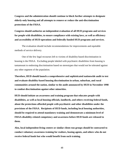**Congress and the administration should continue to block further attempts to designate elderly-only housing and all attempts to remove or reduce the anti-discrimination protections of the FHAA.** 

**Congress should authorize an independent evaluation of all HUD programs and services for people with disabilities, to ensure compliance with existing laws, as well as efficiency and accessibility of HUD operations and federally funded HUD programs and services.** 

The evaluation should include recommendations for improvements and equitable methods of service delivery.

One of the few legal recourses left to victims of disability-based discrimination in housing is the FHAA. Excluding people labeled with psychiatric disabilities from housing is tantamount to endorsing discrimination based on stereotypes that would not be tolerated against any other segment of the population.

**Therefore, HUD should launch a comprehensive and sophisticated nationwide audit to test and evaluate disability-based housing discrimination in urban, suburban, and rural communities around the nation, similar to the audit announced by HUD in November 1998 to combat discrimination against other minorities.**

**HUD should initiate an awareness and training program that educates people with disabilities, as well as local housing officials, landlords, and others receiving federal funds, about the protections afforded people with psychiatric and other disabilities under the provisions of the FHAA. Recipients of HUD funds, including local housing authorities, should be required to attend mandatory training and demonstrate a minimum level of FHAA-disability-related competency and awareness before HUD funds are released to them.** 

**Also, local independent living centers or similar client-run groups should be contracted to conduct voluntary awareness training for realtors, leasing agents, and others who do not receive federal funds but who would benefit from such training.**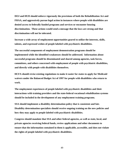**DOJ and HUD should enforce vigorously the provisions of both the Rehabilitation Act and FHAA, and aggressively pursue legal action in instances where people with disabilities are denied access to federally funded programs and services or encounter housing discrimination. These actions would send a message that the laws are strong and that discrimination will not be tolerated.**

**Increase a wide array of employment opportunities geared to utilize the interests, skills, talents, and expressed wishes of people labeled with psychiatric disabilities.**

**The successful components of employment demonstration programs should be implemented while the identified weaknesses should be addressed. Information about successful programs should be disseminated and shared among agencies, task forces, committees, and others concerned with employment of people with psychiatric disabilities, and directly with people with disabilities themselves.**

**HCFA should revise existing regulations to make it easier for states to apply for Medicaid waivers under the Balanced Budget Act of 1997 for people with disabilities who return to work.**

**The employment experiences of people labeled with psychiatric disabilities and their interactions with training providers and the state-federal vocational rehabilitation systems should be included in the development of any employment training programs.** 

**SSA should implement a disability determination policy that is consistent and fair. Disability determination specialists should receive ongoing training on the new policies and how they may apply to people labeled with psychiatric disabilities.** 

**Congress should mandate that SSA and other federal agencies, as well as state, local, and private agencies receiving federal funds, review applications and other documents to ensure that the information contained in them is applicable, accessible, and does not violate the rights of people labeled with psychiatric disabilities.**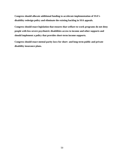**Congress should allocate additional funding to accelerate implementation of SSA's disability redesign policy and eliminate the existing backlog in SSA appeals.**

**Congress should enact legislation that ensures that welfare-to-work programs do not deny people with less severe psychiatric disabilities access to income and other supports and should implement a policy that provides short-term income supports.**

**Congress should enact mental parity laws for short- and long-term public and private disability insurance plans.**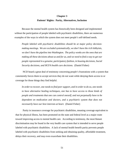### **Chapter 3**

### **Patients' Rights: Parity, Alternatives, Inclusion**

Because the mental health system has historically been designed and implemented without the participation of people labeled with psychiatric disabilities, there are numerous examples of the ways in which the system does not meet people's self-defined needs.

*People labeled with psychiatric disabilities should be at major policy decisionmaking meetings. We are excluded systematically, we don't have the rich lobbyists, we don't have the pipeline into Washington. The policy wonks are the ones that are making all these decisions about us and for us, and we need to find a way to get our people represented in a genuine, participatory fashion, in housing decisions, Social Security decisions, and HCFA health care decisions.* (Daniel Fisher)

NCD heard a great deal of testimony concerning people's frustrations with a system that consistently forces them to accept services they do not want while denying them access to or coverage for those things they find helpful.

*In order to recover, one needs to find peer support, and in order to do so, one needs to have alternative healing techniques, one has to have access to those kinds of people and treatments that one can control oneself, and not perpetually have to be dependent on medication and doctors, and a psychiatric system that does not necessarily have our best interests at heart.* (Daniel Fisher)

Parity in insurance coverage for psychiatric disabilities, meaning coverage equivalent to that for physical illness, has been promoted on the state and federal level as a major route toward improving access to mental health care. According to testimony, the most blatant discrimination may be found in the very health care system that is intended to serve people labeled with psychiatric disabilities. A lack of mental health benefit parity prevents people labeled with psychiatric disabilities from seeking and obtaining quality, affordable treatment, delays their recovery, and may even exacerbate their disabilities.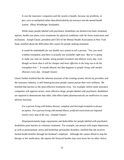*It cost the insurance companies and the system a bundle, because my problems, in fact, were so multiplied rather than diminished by my entrance into the mental health system.* (Mary Wimberger Auslander)

While many people labeled with psychiatric disabilities are denied even basic treatment options, health care plans cover treatments for physical conditions with far fewer restrictions and exclusions. Joseph Glazer, president and CEO of the Mental Health Association in New York State, testified about the difficulties this causes for people seeking treatment.

*It would be unthinkable for our health care system to tell a person, "Yes, you need a kidney transplant, and there is actually one available right now. But we're going to make you wait six months, doing painful treatment and dialysis every day, even though we know that it will be cheaper and more effective in the long run to do the transplant now." It sounds absurd, but that happens to people living with mental illnesses every day.* (Joseph Glazer)

Glazer further testified that the inherent structure of the existing system, driven by providers and the insurance industry, is self-limiting because people cannot pursue their own wellness. He testified that barriers to the most effective treatments exist. For example, before some insurance companies will approve newer, more effective drugs, people labeled with psychiatric disabilities are required to demonstrate that older, side-effect-laden pharmaceuticals are ineffective or cause adverse reactions.

*For a person living with kidney disease, complete and thorough treatment is always an option. For a person living with mental illness, artificial restrictions are imposed nearly every step of the way.* (Joseph Glazer)

Disproportionately large copayments and deductibles for people labeled with psychiatric disabilities pose barriers to voluntary treatment. For example, one person with major depression, as well as posttraumatic stress and borderline personality disorders, testified that she receives mental health benefits through her husband's employer. Although she cannot afford to stop her therapy or her medication, she reports the financial burden may soon leave her no other choice,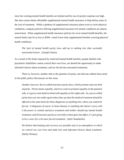since her existing mental health benefits are limited and her out-of-pocket expenses are high. She also cannot obtain affordable supplemental mental health insurance to help defray some of the cost of treatment. While a plethora of supplemental insurance plans exist to cover physical conditions, company policies offering supplemental insurance for mental conditions are almost nonexistent. When supplemental health insurance policies do cover mental health benefits, the annual limits may be as low as \$500—much lower than supplemental benefits covering physical health conditions.

*The lack of mental health parity laws add up to nothing less than societally sanctioned torture.* (Joseph Glazer)

As a result of the limits imposed by restricted mental health benefits, people labeled with psychiatric disabilities cannot control their own lives, are denied the opportunity to make informed choices about treatment, and are forced into unwanted treatments.

There is, however, another side to the question of parity, one that has seldom been aired in the public policy discussions on this issue.

*Another issue are the so-called insurance parity laws, which promote only one kind of parity. Parity means equality, and if we want to promote equality on the payment side, it's got to come hand-in-hand with equality on the rights side. So, any so-called parity laws are not really equal unless they say that the medical treatment should be offered on the same basis for these diagnoses as anything else, where you cannot be forced. A diagnosis of cancer or heart disease or anything else doesn't carry with it the power to commit and force treatment and neither should any mental health treatment, and if insurance parity as currently written goes into effect, it's just going to be a cover for a lot more forced treatment.* (Judi Chamberlin)

*We believe that healing and recovery are possible only in an atmosphere in which we control our own lives and make free and informed choices about treatment.* (Darby Penney)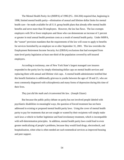The Mental Health Parity Act (MHPA) of 1996 (P.L. 104-204) required that, beginning in 1998, limited mental health parity—elimination of annual and lifetime dollar limits for mental health care—be made available for all U.S. group health plans that already offer mental health benefits and serve more than 50 employees. However, the law has flaws. The law exempts employers with 50 or fewer employees and those who can demonstrate an increase of 1 percent or greater in total annual health premium costs as a result of mental health parity. Under MHPA, the "sunset" provision mandates that the requirements of the law will cease to apply to benefits for services furnished by an employer on or after September 31, 2001. This law overrides the Employment Retirement Income Security Act (ERISA) exclusions that had exempted from state-level parity legislation at least one-third of the population covered by self-insured employers.

According to testimony, one of New York State's largest managed care insurers responded to the parity law by simply eliminating dollar caps on mental health services and replacing them with annual and lifetime visit caps. A mental health administrator testified that this benefit limitation is additionally grievous to youths between the ages of 18 and 21, who are most commonly diagnosed with schizophrenia and many forms of depression during this time of their lives.

### *They just did the math and circumvented the law.* (Joseph Glazer)

But because the public policy debate on parity has not involved people labeled with psychiatric disabilities in meaningful ways, the question of forced treatment has not been addressed in existing or proposed mental health parity laws. Using the cover of mental health parity to pay for treatments that are not sought or wanted by their recipients will simply make such laws a vehicle to further legitimize and fund involuntary treatment, which is incompatible with self-determination principles. In addition, mental health parity laws could lead to even greater medicalizing of people's problems, because they would fund drugs, electroshock, and hospitalization, when what is often needed are such nonmedical services as improved housing and peer support.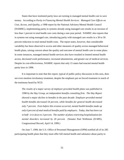States that have instituted parity laws are turning to managed mental health care to save money. According to *Parity in Financing Mental Health Services: Managed Care Effects on Cost, Access, and Quality*, a 1998 report by the National Advisory Mental Health Council (NAMHC), implementing parity in systems already using managed care results in an increase of less than 1 percent in total health care costs during a one-year period. NAMHC also reports that in systems not using managed care, introducing parity with managed care results in a 30 to 50 percent reduction in total mental health costs. The report notes, however, that considerable variability has been observed in access and other measures of quality across managed behavioral health plans, raising concern about the quality and outcome of mental health care in some plans. In some instances, managed mental health services also have resulted in limited mental health access, decreased work performance, increased absenteeism, and greater use of medical services. Despite its cost-effectiveness, NAMHC reports that only 15 states had enacted mental health parity laws in 1998.

It is important to note that this report, typical of public policy discussion in this area, does not even mention involuntary treatment, despite the emphasis put on forced treatment in much of the testimony heard by NCD.

*The results of a major survey of employer-provided health plans was published in 1998 by the Hay Group, an independent benefits consulting firm. The Hay Report showed a major decline in benefits in the past decade: Employer-provided mental health benefits decreased 54 percent, while benefits for general health decreased only 7 percent. Even before this erosion occurred, mental health benefits made up only 6 percent of total medical benefits paid by employers. Today, that has been cut in half—it is down to 3 percent. The number of plans restricting hospitalization for mental disorders increased by 20 percent.* (Senator Paul Wellstone (D-MN), Congressional Record, April 14, 1999.)

On June 7, 1999, the U.S. Office of Personnel Management (OPM) notified all of its 285 participating health plans that they must offer full mental health and substance abuse parity to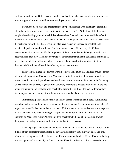continue to participate. OPM surveys revealed that health benefit parity would add minimal cost to existing premiums and would increase employee productivity.

Testimony also pointed to problems faced by people labeled with psychiatric disabilities when they return to work and need continued insurance coverage. At the time of the hearings, people labeled with psychiatric disabilities who received Medicaid lost those health benefits if they returned to the workforce, but benefits to Medicare recipients continued for three years after they returned to work. Medicare recipients also have restrictions placed on mental health benefits. Inpatient mental health benefits, for example, have a lifetime cap of 190 days. Beneficiaries also are responsible for 20 percent of the inpatient hospital charge, as well as the deductible for each stay. Medicare coverage for outpatient mental health services is limited to 50 percent of the Medicare allowable charge; however, there is no lifetime cap for outpatient therapy. Medicaid mental health benefits vary from state to state.

The President signed into law the work incentives legislation that includes provisions that allow people to continue Medicaid and Medicare benefits for a period of six years after they return to work. An employer who offers health care benefits should include mental health parity. Unless mental health parity legislation for voluntary treatment is enacted nationwide, at the end of six years many people labeled with psychiatric disabilities will face the same dilemma they face today—a lack of coverage for voluntary treatment and a disincentive to work.

Furthermore, parity alone does not guarantee access to mental health care. With limited available health care dollars, many providers are turning to managed care organizations (MCOs) to provide cost-effective mental health services. Unfortunately, this move is often at the expense of, and detrimental to, the well-being of people labeled with psychiatric disabilities. As an example, an MCO may require "treatment" by a psychiatrist when a client needs and wants therapy or consulting by a non-psychiatric mental health professional.

Arthur Springer developed an anxiety disorder secondary to his physical disability, but he did not obtain competent treatment for his psychiatric disability until six years later, and only after numerous agencies denied him or created insurmountable barriers. He testified that the long process aggravated *both* his physical and his mental health conditions, and is concerned that it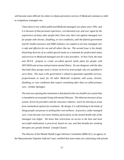will become more difficult for others to obtain preventive services if Medicaid continues to shift to compulsory managed care.

*I have been in two widely publicized Medicaid managed care plans since 1991, and it is because of that personal experience, corroborated over and over again by the experiences of many other people that I have met, that I am against managed care for people with chronic, disabling, or rare conditions, until the federal government and the health insurance and HMO industry can explain to me how managed care is safe and effective for me and all others like me. The second issue is the deeply disturbing doctrine of so-called special needs as a rationale for preferential status and services in Medicaid managed care for a few providers. In New York, the state and HCFA propose to create so-called special needs plans for people with HIV/AIDS and serious and persistent mental illness. No one disagrees with the idea that both these groups need a variety of services from people who are qualified to serve them. The issue is the government's refusal to guarantee equitable services, proportionate to need, for all other Medicaid recipients with acute, chronic, disabling, or rare conditions that require something other than so-called primary care.* (Arthur Springer)

*The most eye-opening discrimination is that found in the very health care system that is intended to serve people living with mental illnesses. The inherent structure of our system, driven by providers and the insurance industry, starts by steering us away from nonmedical options for treatment. By design, it is self-limiting in the kinds of things people can pursue in seeking their own wellness. In practice, under managed care, it has become even more limited, particularly on the mental health side of the managed cost ledger. We know that restrictions on access to the best and most successful medications is practiced, based on cost, and that benefits for nondrug therapies are greatly limited.* (Joseph Glazer)

The director of the Mental Health Legal Advisors Committee (MHLAC), an agency of the Massachusetts Supreme Judicial Court, testified that more states are contracting with private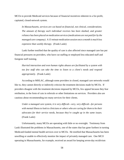MCOs to provide Medicaid services because of financial incentives inherent in a for-profit, capitated, closed-network system.

*In Massachusetts, services are cut based on financial, not clinical, considerations. The amount of therapy each individual receives has been slashed, and greater reliance has been placed on medication services (medications are not paid for by the managed care company). A 15-minute medication session once a month is much less expensive than weekly therapy.* (Frank Laski)

Laski further testified that the quality of care is also affected since managed care has put financial pressures on providers, who have cut staffing or employed less educated staff and foregone staff training.

*Hurried interaction and even human rights abuses are facilitated by a system with too few staff who can take the time to listen to a client's needs and respond appropriately.* (Frank Laski)

According to MHLAC, although some providers in closed, managed care networks would like to, they cannot directly or indirectly criticize the treatment decisions made by MCOs. If providers disagree with the treatment decisions imposed by MCOs, few appeal because they fear retribution, in the form of cuts in referrals or other limitations on services. Providers also are cautious about recommending too many services for their clients.

*Under a managed care system, it is very difficult—very, very difficult—for persons with mental illness to look to clinicians or others who are caring for them to be their advocates for their service needs, because they're caught up in the same issues.* (Frank Laski)

Unfortunately, many MCOs are operating with little or no oversight. Testimony from Laski illustrated the problems in Massachusetts, one of the states that has gone furthest in turning Medicaid-funded mental health services over to MCOs. He testified that Massachusetts has been unwilling or unable to effectively monitor the impact of privately managed care. One MCO operating in Massachusetts, for example, received an award for keeping seven-day recidivism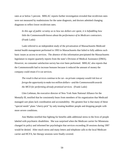rates at or below 5 percent. MHLAC reports further investigation revealed that recidivism rates were not measured by readmissions for the same diagnosis, and doctors admitted changing diagnoses to reflect lower recidivism rates.

*In this age of public scrutiny as to how tax dollars are spent, it is befuddling how little the Commonwealth knows about the performance of its Medicare contractors.* (Frank Laski)

Laski referred to an independent study of the privatization of Massachusetts Medicaid mental health management performed in 1993 in Massachusetts that failed to fully address such basic issues as access to services. The absence of this information precipitated the Massachusetts legislature to require quarterly reports from the state's Division of Medical Assistance (DMA). However, no consumer satisfaction survey has ever been performed. MHLAC also reports that the Commonwealth had to increase bonuses because it reduced the amount of money the company could retain if it cut services.

*The result is that services continue to be cut—no private company would risk loss or forego the opportunity to make two million dollars—and the Commonwealth awards the MCO for performing already promised services.* (Frank Laski)

Glen Liebman, the executive director of New York State National Alliance for the Mentally Ill, testified that he consistently hears from members of his organization that Medicaid managed care plans lack coordination and accountability. His greatest fear is that many of these "special needs" plans "cherry-pick" by only treating healthier people and dropping people with more severe conditions.

Ann Mathes testified that fighting for benefits adds additional stress to the lives of people labeled with psychiatric disabilities. She was surprised when the Medicare carrier for Minnesota changed its policy and informed her psychologist that services exceeding 20 sessions during 1997 would be denied. After much stress and many letters and telephone calls to the local Medicare carrier and HCFA, her therapy sessions were finally covered.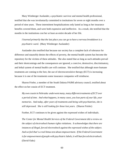Mary Wimberger Auslander, a psychiatric survivor and mental health professional, testified that she was involuntarily committed to institutions for seven or eight months over a period of nine years. These intermittent hospitalizations only lasted as long as her insurance benefits covered them, and were both expensive and ineffective. As a result, she testified that the months in the institutions cost her at least an entire decade of her life.

*I learned primarily that the last place you can go to have a nervous breakdown is a psychiatric ward.* (Mary Wimberger Auslander)

Auslander also testified that because our society has a complete lack of tolerance for difference and staunchly denies the effects of poverty, the mental health system has become the repository for the victims of these attitudes. She also stated that as long as such attitudes prevail and their shortcomings and the consequences are ignored, a coercive, destructive, discriminatory, and lethal system of mental health care will continue. She testified that although more humane treatments are coming to the fore, the use of electroconvulsive therapy (ECT) is increasing because it is one of the treatments some insurance companies will reimburse.

Sharon Frieler, a member of the South Dakota PAIMI advisory council, testified about the effect on her cousin of ECT treatment.

*My own cousin in Nebraska underwent many, many different treatments of ECT over a period of time. And what happens, in many cases, you lose parts of your life, your memories. And today, after years of treatments and being with psychiatrists, she is still depressed. She is still looking for those lost years.* (Sharon Frieler)

Further, ECT continues to be given against the expressed wishes of individuals.

*The Center for Mental Health Services of the Federal Government did a review on the subject of electroshock human rights violations. It acknowledges that there are instances of illegal, forced electroshock against the expressed wishes of the subject. And we feel that's a real litmus test about empowerment. If the Federal Government is for empowerment of people with psychiatric labels, it will ban forced electroshock.* (David Oaks)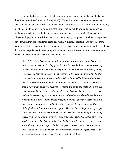One method of increasing self-determination in psychiatric care is the use of advance directives (sometimes known as "living wills"). Through an advance directive, people can specify in advance what kinds of care they want, or don't want, at some future time in which they may be deemed incompetent to make treatment decisions. While originally envisioned as applying primarily to end-of-life care, advance directives also have applicability to people labeled with psychiatric disabilities, who are usually legally competent but who may experience periods when they are considered not to be. Xenia Williams, a mental health advocate from Vermont, testified concerning the use of advance directives for psychiatric care and the problems that she had experienced in attempting to implement the provisions of an advance directive in which she was named the substitute decision maker.

*Since 1995, I have been an agent under a durable power of attorney for health care in the state of Vermont for [my friend]. She has not had her durable power of attorney honored by Vermont State Hospital or the Brattleborough Retreat, both of which receive federal monies. This is contrary to the Vermont statute for durable powers of attorney for health care and the federal Patients' Self-Determination Act, and it's discriminatory under ADA. People labeled with psychiatric disabilities should have their advance directives respected, the same as people who have lost capacity to make their own health care decisions because they were in a car crash and are in a coma. If you execute an advance directive, you should have the same rights to have it honored if your loss of capacity to make your own decisions is due to psychiatric situations as well as for other reasons of losing capacity. I'm a coplaintiff with my friend in a lawsuit against Vermont State Hospital, to try to get enforcement of her advance directive. She has been discriminated against in being barred from having visitors at times. I have not been consulted about her care. They won't consult me; they just throw her back in the hospital, and then they feed her all kinds of drugs that are not good for her. They won't respect her wishes about which drugs she wants to take, and when, and other things that greatly affect her care. So, she's not getting her rights respected there.* (Xenia Williams)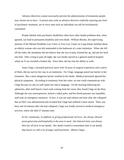Advance directives cannot necessarily prevent the administration of treatments people may choose not to have. A person may write an advance directive explicitly rejecting any form of psychiatric treatment, yet in every state such an individual can still be involuntarily committed.

People labeled with psychiatric disabilities often have other health problems that, when ignored, can lead to permanent disability and even death.William Brooks, the supervising attorney of the Mental Disability Law Clinic at Toro Law Center on Long Island, testified about an elderly woman who was left unattended in the bathroom of a state institution. When she fell off the toilet, the attendants did not believe that she was in pain, hoisted her up, and put her back into bed. After crying in pain all night, she was finally moved to a general medical hospital where an X ray revealed a broken hip. Since then, she has lost her ability to walk.

Anna Clege, a licensed practical nurse with 18 years of surgical experience and a native of Haiti, did not survive her stay in an institution. For Clege, language posed one barrier to her treatment. But a more dangerous barrier resulted in her death: Medical personnel ignored her physical symptoms. According to testimony from her sister, no one could communicate with Clege because no one on staff spoke her native language. On the morning following her admission, after staff heard a loud crash coming from her room, they found Clege on the floor. Although she was nonresponsive, lacked a radial pulse, and her blood pressure was inaudible, staff took no emergency measures. In fact, it was not until almost one hour after she collapsed that an EKG was administered and revealed that Clege had suffered a heart attack. Then, one hour and 10 minutes after she had collapsed, Clege was finally moved to medical emergency services, where she died 27 minutes later.

*In her community, in addition to giving professional services, she always showed great generosity and hospitality to the ones in need. Our beloved sister was always there for all of us in our family. Her death created a tremendous hole in our family that leaves us with a lot of anger and frustration.* (Marie Clege)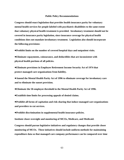#### **Public Policy Recommendations**

**Congress should enact legislation that provides health insurance parity for voluntary mental health services for people labeled with psychiatric disabilities to the same extent that voluntary physical health treatment is provided. Involuntary treatment should not be covered in insurance parity legislation, since insurance coverage for physical health conditions does not mandate involuntary treatment. Legislation also should incorporate the following provisions:**

**Prohibit limits on the number of covered hospital days and outpatient visits.**

**Eliminate copayments, coinsurance, and deductibles that are inconsistent with physical health portions of all policies.**

**Eliminate provisions in Employee Retirement Income Security Act of 1974 that protect managed care organizations from liability.**

**Amend the Mental Health Parity Act of 1996 to eliminate coverage for involuntary care and to eliminate the sunset provision.**

**Eliminate the 50-employee threshold in the Mental Health Parity Act of 1996.**

**Establish time limits for processing appeals of denied claims.**

**Prohibit all forms of capitation and risk-sharing that induce managed care organizations and providers to cut services.**

**Prohibit discrimination in supplemental health insurance policies.**

**Institute closer oversight and monitoring of MCOs, Medicare, and Medicaid.**

**Congress should pursue legislative initiatives and regulatory changes that provide closer monitoring of MCOs. These initiatives should include uniform methods for maintaining expenditure data so that managed care company performance can be compared over time**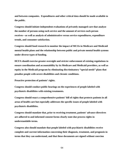**and between companies. Expenditures and other critical data should be made available to the public.**

**Congress should initiate independent evaluations of privately managed care that analyze the number of persons using each service and the amount of services each person receives—as well as analysis of administrative versus service expenditures, expenditure trends, and consumer satisfaction.**

**Congress should fund research to monitor the impact of MCOs in Medicare and Medicaid mental health plans and the relationship between public and private mental health systems under diverse types of funding.**

**HCFA should exercise greater oversight and stricter enforcement of existing regulations to ensure coordination and accountability by its Medicare and Medicaid providers, as well as equity in the Medicaid program by eliminating discriminatory "special needs" plans that penalize people with severe disabilities and chronic conditions.**

**Proactive protection of patients' rights.**

**Congress should conduct public hearings on the experiences of people labeled with psychiatric disabilities with existing treatments.**

**Congress should enact a comprehensive patients' bill of rights that protects patients in all areas of health care but especially addresses the specific issues of people labeled with psychiatric disabilities.**

**Congress should mandate that, prior to receiving treatment, patients' advance directives are adhered to and informed consent forms clearly state due process rights in understandable terms.**

**Congress also should mandate that people labeled with psychiatric disabilities receive complete and current information concerning their diagnosis, treatment, and prognosis in terms that they can understand, and that these documents are signed without coercion**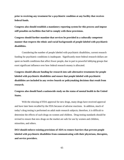**prior to receiving any treatment for a psychiatric condition at any facility that receives federal funds.** 

**Congress also should establish a mandatory reporting system for this process and impose stiff penalties on facilities that fail to comply with these provisions.** 

**Congress should further mandate that services be provided in a culturally competent manner that respects the ethnic and racial backgrounds of people labeled with psychiatric disabilities.**

Considering the number of people labeled with psychiatric disabilities, current research funding for psychiatric conditions is inadequate. Significantly more federal research dollars are spent on health conditions that affect fewer people, due in part to powerful lobbying groups that exert significant influence over how federal research money is allocated.

**Congress should allocate funding for research into safe alternative treatments for people labeled with psychiatric disabilities and ensure that people labeled with psychiatric disabilities are included in any review boards or policymaking decisions that result from research.** 

**Congress also should fund a nationwide study on the status of mental health in the United States.**

With the relaxing of FDA approval for new drugs, many drugs have received approval and have later been recalled by the FDA because of adverse reactions. In addition, much of today's drug testing is performed on adult male research subjects; therefore, it is difficult to determine the effects of such drugs on women and children. Drug testing standards should be revised to ensure that new drugs on the market are safe for use by women and children, minorities, and others.

**DOJ should enforce existing provisions of ADA to remove barriers that prevent people labeled with psychiatric disabilities from communicating with their physicians, therapists, and service providers.**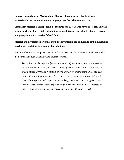**Congress should amend Medicaid and Medicare laws to ensure that health care professionals can communicate in a language that their clients understand.**

**Emergency medical training should be required for all staff who have direct contact with people labeled with psychiatric disabilities in institutions, residential treatment centers, and group homes that receive federal funds.** 

**Medical and psychiatric personnel should receive training in addressing both physical and psychiatric conditions in people with disabilities.**

The lack of culturally competent mental health services was also addressed by Sharon Frieler, a member of the South Dakota PAIMI advisory council.

*The reality is not having readily available, culturally sensitive mental health services for the Native American, the largest minority group in our state. The reality is stigma that is exceptionally difficult to deal with, in an environment where the least bit of attention drawn to yourself, or forced up, let alone being associated with particular programs, will single you out, and say, "You are crazy." So, please don't lose the sense of these shared experiences you've heard here today. Deliberate on them. Think before you make your recommendations.* (Sharon Frieler)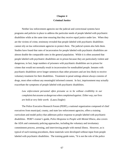# **Chapter 4 Criminal Justice**

Neither law enforcement agencies nor the judicial and correctional systems have programs and policies in place to address the particular needs of people labeled with psychiatric disabilities while at the same time ensuring that they receive equal justice under law. When they are the victims of crime, testimony revealed that people labeled with psychiatric disabilities cannot rely on law enforcement agencies to protect *them*. The judicial system also fails them. Studies have found that rates of incarceration for people labeled with psychiatric disabilities are almost double the comparable rates in the general population. While it is often assumed that people labeled with psychiatric disabilities are in prison because they are particularly violent and dangerous, in fact, large numbers of prisoners with psychiatric disabilities are in prison for crimes that would not normally result in incarceration for nondisabled people. Inmates with psychiatric disabilities serve longer sentences than other prisoners and are less likely to receive voluntary treatment for their disabilities. Treatment in penal settings almost always consists of drugs, most often without any meaningful informed consent. In fact, imprisonment may actually exacerbate the symptoms of people labeled with psychiatric disabilities.

*Law enforcement personnel often presume us to be without credibility in our complaints but assume us dangerous when complained against. Either way, our lives are held at very little worth.* (Laura Ziegler)

The Police Executive Research Forum (PERF), a national organization composed of chief executives from municipal, county, and state law enforcement agencies, offers a training curriculum and model policy that addresses police response to people labeled with psychiatric disabilities. PERF's trainer's guide, *Police Response to People with Mental Illness*, also covers the ADA and community policing approaches, including the voluntary and involuntary commitment process, arresting, and interviewing people with mental illness. However, as is typical of such training procedures, these materials were developed without input from people labeled with psychiatric disabilities. The training guide notes, "It is not the role of the police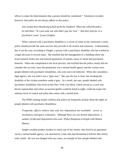officer to make the determination that a person should be committed." Testimony revealed, however, that police do not always adhere to this policy.

*One woman described being locked out by her landlord. When she called the police, he told them, "It's just some nut who didn't pay her rent." And they took her to a psychiatric ward.* (Laura Ziegler)

When a person with a psychiatric disability is a victim of crime or has witnessed a crime, police should provide the same services they provide to all victims and witnesses. Unfortunately, this is not the case, according to Ziegler, a person with a psychiatric disability who has worked as a legal advocate in several states. She testified that the management of a building where she lived routinely broke into and entered apartments of tenants, many of whom had psychiatric histories. When she complained at the local precinct, she testified that the police clearly did not consider this an issue, since the perpetrator was a mental health agency and the victims were people labeled with psychiatric disabilities, who were not to be believed. When she consulted a legal agency, she was told it was a "gray area." She says the law is clear, but invoking the disability of the victims somehow made it gray. As a result, she says, people labeled with psychiatric disabilities who lived on this New York City block, which served as a crack and heroin supermarket and where occasional gunfire could be heard at night, could not expect the ordinary level of control and safety that comes with a locked door.

The PERF training model confirms that police are frequently unclear about the rights of people labeled with psychiatric disabilities:

*Frequently, officers believe that only two dispositions are available: arrest or involuntary emergency evaluation. Although these are two formal dispositions, a number of informal dispositions also exist.* (Police Response to People with Mental Illness)

Ziegler recalled another incident in which one of her clients, who lived in an apartment run by a mental health agency, was attacked by a man who had threatened to kill her (the client) with a knife. He was not charged with any crime, an example of how people labeled with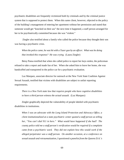psychiatric disabilities are frequently victimized both by criminals and by the criminal justice system that is supposed to protect them. When this same client, however, objected to the policy of the building's management of entering her apartment without her permission and stated that someone would get "knocked on their ass" the next time it happened, a staff person arranged for her to be psychiatrically committed because she was "violent."

 Ziegler also testified about a family who called the police because they thought their son was having a psychiatric crisis.

*When the police came, he was hit with a Tazer gun by an officer. What was he doing that invoked this response? He was crying.* (Laura Ziegler)

Betsy Pansa testified that when she called police to report her keys stolen, the policeman refused to take a report and made fun of her. When she asked him to leave her home, she was handcuffed and transported in the police car for a psychiatric evaluation.

Luz Marquez, associate director for outreach at the New York State Coalition Against Sexual Assault, testified that victims with disabilities are subject to unfair reporting requirements.

*There is a New York state law that requires people who have cognitive disabilities to have a third person witness the actual assault.* (Luz Marquez)

Ziegler graphically depicted the vulnerability of people labeled with psychiatric disabilities in institutions.

*When I was an advocate with the Long Island Protection and Advocacy Office, a client institutionalized at a state psychiatric center quoted a staff person as telling her, "You can't dial 911 in here." What would have happened if she had? The county police told me a staff person's verification would be required if a complaint came from a psychiatric ward. They did not explain how this would work if the alleged perpetrator was a staff person. On another occasion, at a conference on sexual assault and retraumatization, I questioned a panelist from the Queens D.A.'s*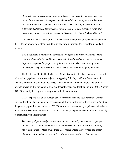*office as to how they responded to complaints of a sexual assault emanating from DD or psychiatric centers. She replied that she couldn't answer my question because they didn't have a psychiatrist on the panel. This kind of discriminatory law enforcement effectively denies basic security to people who are extremely vulnerable to crimes of violence, including violence that is called "treatment."* (Laura Ziegler)

Roy Neville, the president of the Alliance for the Mentally Ill of Schenectady, testified that jails and prison, rather than hospitals, are the new institutions for caring for mentally ill persons.

*Bail is available to mentally ill defendants less often than other defendants. More mentally ill defendants spend longer in jail detention than other prisoners. Mentally ill prisoners spend a larger portion of their sentence in prison than other prisoners, on average. They are more often denied parole than the others.* (Roy Neville)

The Center for Mental Health Services (CMHS) reports "the sheer magnitude of people with serious psychiatric disorders in jails is staggering." In July 1998, the Department of Justice's Bureau of Justice Statistics (BJS) reported that an estimated 284,800 mentally ill offenders were held in the nation's state and federal prisons and local jails in mid-1998. Another 547,800 mentally ill people were on probation in the community.

CMHS reports that on an average day, 9 percent of men and 18.5 percent of women entering local jails have a history of serious mental illness—rates two to three times higher than the general population. An estimated 700,000 new admissions annually to jails are individuals with acute and severe mental illness, compared with 731,510 people who are admitted annually to inpatient psychiatric facilities.

*The local jail persistently remains one of the community settings where people labeled with psychiatric disabilities reside, however briefly, during the course of their long illness. Most often, these are people whose only crimes are minor offenses—public nuisances associated with homelessness (in Los Angeles, over 70*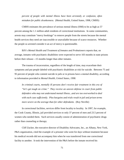*percent of people with mental illness have been arrested), or confusion, often mistaken for public drunkenness.* (Mental Health, United States, 1998, CMHS)

CMHS estimates the prevalence of serious mental illness (SMI) to be as high as 57 percent among the 1.1 million adult residents of correctional institutions. In some communities, arrests may constitute "mercy bookings" to remove people from the streets because the mental health services they need are inaccessible or unavailable because of scarce resources. Whether the people so arrested consider it an act of mercy is questionable.

BJS's *Mental Health and Treatment of Inmates and Probationers* reports that, on average, inmates with psychiatric disabilities were expected to serve 103 months in state prisons before their release—15 months longer than other inmates.

The trauma of incarceration, regardless of the length of time, may exacerbate their symptoms and put people labeled with psychiatric disabilities at risk for suicide. Between 75 and 95 percent of people who commit suicide in jails or in prisons have a mental disability, according to information provided in *Mental Health, United States, 1998*.

*In criminal courts, mentally ill persons don't receive fair treatment in this era of "let's get tough on crime." They receive an uneven defense in court from public defenders who may not understand mental illness...and are too overworked to deal with each case sufficiently. Plea bargains and trials result in jail and prison terms more severe on the average than for other defendants.* (Roy Neville)

In correctional facilities, services differ from locality to locality. In 1997, for example, the Cook County, Illinois, jail provided services to only 37 percent of men and 23.5 percent of women who needed them. Such services usually consist of administration of psychiatric drugs rather than counseling or therapy.

Cliff Zucker, the executive director of Disability Advocates, Inc., an Albany, New York, P&A organization, cited the example of a prisoner who went for days without treatment because his medical records did not accompany him when he was transferred from one correctional facility to another. It took the intervention of the P&A before the inmate received his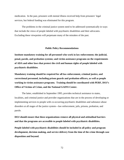medication. In the past, prisoners with mental illness received help from prisoners' legal services, but federal funding was eliminated for this program.

The problems in the criminal justice system need to be addressed systematically in ways that include the views of people labeled with psychiatric disabilities and their advocates. Excluding these viewpoints will perpetuate many of the mistakes of the past.

## **Public Policy Recommendations**

**Institute mandatory training for all personnel who work in law enforcement; the judicial, penal, parole, and probation systems; and victim assistance programs on the requirements of ADA and other laws that protect the civil and human rights of people labeled with psychiatric disabilities**.

**Mandatory training should be required for all law enforcement, criminal justice, and correctional personnel, including prison guards and probation officers, as well as people working in victim assistance programs. Training should be coordinated with PERF, DOJ's Office of Victims of Crime, and the National GAINS Center.** 

The latter, established in September 1995, provides technical assistance to states, localities, and criminal justice and provider organizations that are in the process of developing or implementing services to people with co-occurring psychiatric disabilities and substance abuse disorders at all stages of the justice system—law enforcement, jails, prisons, probation, and parole.

**DOJ should ensure that these organizations remove all physical and attitudinal barriers and that the programs are accessible to people labeled with psychiatric disabilities.**

**People labeled with psychiatric disabilities should be included in all policy and program development, decision making, and service delivery from the time of the crime through case disposition and beyond.**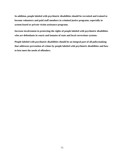**In addition, people labeled with psychiatric disabilities should be recruited and trained to become volunteers and paid staff members in criminal justice programs, especially in system-based or private victim assistance programs.**

**Increase involvement in protecting the rights of people labeled with psychiatric disabilities who are defendants in courts and inmates of state and local corrections systems.**

**People labeled with psychiatric disabilities should be an integral part of all policymaking that addresses prevention of crimes by people labeled with psychiatric disabilities and how to best meet the needs of offenders.**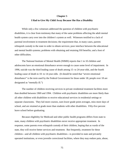#### **Chapter 5**

### **I Had to Give My Child Away Because She Has a Disability**

While only a few witnesses addressed the question of children with psychiatric disabilities, it is clear from testimony that many of the same problems affecting the adult mental health system carry over into the children's system as well. Witnesses testified to a lack of parental involvement in treatment decisions; the requirement that, in many cases, parents relinquish custody to the state in order to obtain services; poor interface between the educational and mental health systems; problems with obtaining and retaining SSI benefits; and a host of other difficulties.

The National Institute of Mental Health (NIMH) reports that 1 in 10 children and adolescents have an emotional disturbance severe enough to cause some level of impairment. In 1996, suicide was the third leading cause of death among 15- to 24-year-olds, and the fourth leading cause of death in 10- to 14-year-olds. (It should be noted that "severe emotional disturbance" is the term used by the Federal Government for those under 18; people over 18 are designated as "mentally ill.")

The number of children receiving services in private residential treatment facilities more than doubled between 1969 and 1994. Children with psychiatric disabilities are more likely than all other children with disabilities to receive educational services in residential settings or separate classrooms. They fail more courses, earn lower grade point averages, miss more days of school, and are retained at grade more than students with other disabilities. Fifty-five percent leave school before graduating.

Because eligibility for Medicaid and other public health programs differs from state to state, many children with psychiatric disabilities never receive appropriate treatment. In response, some parents even relinquish custody of their children, hoping that as wards of the state, they will receive better services and treatment. But frequently, treatment for these children—and all children with psychiatric disabilities—is provided in state and privately operated institutions, or even juvenile correctional facilities, where they may endure pain, abuse,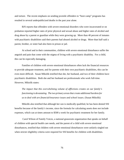and torture. The recent emphasis on sending juvenile offenders to "boot camp" programs has resulted in several underpublicized deaths in the past year alone.

BJS reports that offenders with severe emotional disorders who were incarcerated or on probation reported higher rates of prior physical and sexual abuse and higher rates of alcohol and drug abuse by a parent or guardian while they were growing up. More than 40 percent of inmates with psychiatric disabilities said their parents had abused alcohol or drugs. More than half said a parent, brother, or sister had also been in prison or jail.

At school and in their communities, children with severe emotional disturbance suffer the anguish and pain that come with the stigma of living with a psychiatric disability. For a child, this can be especially damaging.

Families of children with severe emotional disturbances often lack the financial resources to provide adequate treatment, and for parents with their own psychiatric disabilities, this can be even more difficult. Susan Mikolik testified that she, her husband, and two of their children have psychiatric disabilities. Both she and her husband are professionals who work full-time. However, Mikolik states:

*The impact that this overwhelming volume of afflictions creates on our family's functioning is devastating. The two primary areas that create additional burdens for us to deal with are financial/insurance issues and school issues.* (Susan Mikolik)

Mikolik also testified that although her son is medically qualified, he has been denied SSI benefits because of the family's income, since the formula for calculating assets does not include expenses, which can at times amount to \$500 a week for psychiatric treatment for her family.

 Carol Wilson of Family Voices, a national grassroots organization that speaks on behalf of children with special health care needs, and the parent of a child with severe emotional disturbances, testified that children with severe emotional disturbances were unfairly singled out when stricter eligibility criteria were required for SSI benefits for children with disabilities.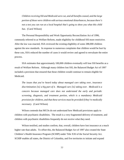*Children receiving SSI and Medicaid were cut, and all benefits ceased, and the large portion of those were children with serious emotional disturbances, because there's not a test you can run at a local hospital that's going to show you what this child has.* (Carol Wilson)

The Personal Responsibility and Work Opportunity Reconciliation Act of 1996, commonly referred to as Welfare Reform, made eligibility for childhood SSI more restrictive. After the law was enacted, SSA reviewed the existing eligibility of some 288,000 children against the new standards. In response to numerous complaints that children would be hurt by these cuts, SSA reduced the number of cases it would review and agreed to reevaluate the entire process.

SSA estimates that approximately 100,000 children eventually will lose SSI benefits as a result of Welfare Reform. Although many children lost SSI, the Balanced Budget Act of 1997 included a provision that ensured that those children would continue to remain eligible for Medicaid.

*The issues that you've heard today about managed care taking over, insurance discrimination [is] a big part of it. Managed care [is] taking over. Medicaid is a concern because managed care does not understand the early and periodic screening, diagnosis, and treatment portion, which is a mandatory Medicaid provision for children, and that these services must be provided if they're medically necessary.* (Carol Wilson)

Wilson contends that MCOs do not understand how Medicaid provisions apply to children with psychiatric disabilities. The result is a very fragmented delivery of treatment, and children with psychiatric disabilities frequently do not receive what they need.

Wilson testified, and studies confirm, that, overall, children have lost insurance at a much higher rate than adults. To offset this, the Balanced Budget Act of 1997 also created the State Children's Health Insurance Program (SCHIP) under Title XXI of the Social Security Act. SCHIP enables all states, the District of Columbia, and five territories to initiate and expand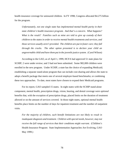health insurance coverage for uninsured children. In FY 1998, Congress allocated \$4.275 billion for the program.

*Unfortunately, not one single state has implemented mental health parity in their state children's health insurance program. And that's a concern. What happens? What is the result? Families such as mine are told to give up custody of their children to the states in order to receive mental health treatments and services, and those services usually aren't provided. The children are put in foster care; they fall through the cracks. The other option presented is to declare your child an ungovernable child and have them put in the juvenile justice system.* (Carol Wilson)

According to the GAO, as of April 1, 1999, HCFA had approved 51 state plans for SCHIP; 2 were under review; and 3 had not been submitted. Some 982,000 children were enrolled in the new program. Under SCHIP, a state has the choice of expanding Medicaid; establishing a separate stand-alone program that can include cost-sharing and allows the state to adopt a benefit package that meets one of several employer-based benchmarks; or combining these two approaches. To date, most states have chosen to expand their Medicaid programs.

For its report, GAO sampled 15 states. In eight states with the SCHIP stand-alone component, mental health, prescription drugs, vision, hearing, and dental coverage were *optional* benefits that, with the exception of prescription drugs, placed limits on the duration of treatment allowed or on the amount of services covered. In those eight states, optional mental health benefits place limits on the number of days for inpatient treatment and the number of outpatient visits.

*For the majority of children, such benefit limitations are not likely to result in inadequate diagnosis and treatment. Children with special needs, however, may not receive the full range of services that their conditions might warrant.* (Children's Health Insurance Program: State Implementation Approaches Are Evolving, GAO May 1999.)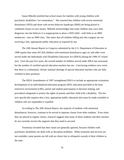Susan Mikolik testified that school issues for families with young children with psychiatric disabilities "are tremendous." She asserted that children with severe emotional disturbance (SED) and those with severe behavior handicaps (SBH) are being placed in combined classes to save money. Mikolik acknowledges that some children may carry dual diagnoses, but she believes it is inappropriate to place a SED child—with little or no SBH tendencies—into an SBH class. She states that *all* children falling into this category are not receiving a free, appropriate public education as required by law.

*The 20th Annual Report to Congress* submitted by the U.S. Department of Education in 1998 reports that some 447,426 children with emotional disturbances ages six and older were served under the Individuals with Disabilities Education Act (IDEA) during the 1996–97 school year. Over the past five years, the overall number of children served under IDEA has increased, but the number of certified special education teachers has not. Convincing evidence now exists that there is a substantial, chronic national shortage of special education teachers who are fully certified in their positions.

The IDEA Amendments of 1997 strengthened IDEA to include an appropriate evaluation, development of an individualized education program (IEP), education provided in the least restrictive environment (LRE), parent and student participation in decision making, and procedural safeguards to protect the rights of parents and their child with a disability. The law now specifically requires that a free, appropriate public education also must be made available to children who are suspended or expelled.

According to *The 20th Annual Report,* the majority of students with emotional disturbances, however, continue to be served in separate classes from other students. Even when they are placed in regular classes, research suggests that many of these students and their teachers do not currently receive the supports that they need to succeed.

Testimony revealed that their issues are generally ignored, because children with psychiatric disabilities are dealt with as discipline problems. When treatment and services are not available, some parents are left with no choice but to relinquish custody of their children to the state.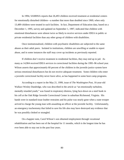In 1994, SAMHSA reports that 26,493 children received treatment at residential centers for emotionally disturbed children—a number that more than doubled since 1969, when only 13,489 children were treated in such facilities. In fact, Department of Education data, based on a December 1, 1995, survey and updated on September 1, 1997, indicated that children with emotional disturbances were almost twice as likely to receive services under IDEA in public or private residential facilities than any other group of children with disabilities.

Once institutionalized, children with psychiatric disabilities are subjected to the same abuses as their adult peers. Isolated in institutions, children are unwilling or unable to report abuse, and in some instances the staff may cover up incidents as previously reported.

If children don't receive treatment in residential facilities, they may end up in jail. As many as 14,904 received IDEA services in correctional facilities during the 1995–96 school year. Wilson asserts that approximately 60 percent of the children in the juvenile justice system have serious emotional disturbances but do not receive adequate treatment. Some children who enter a juvenile correctional facility never leave alive, as has happened in some boot camp programs.

According to a report in the May 21, 1999, issue of *The Washington Post*, 16-year-old Wallace Wesley Dandridge, who was described in the article as "an emotionally turbulent, mentally retarded youth," was found in respiratory distress, lying face-down on a steel bunk in his cell at the Oak Ridge Juvenile Correctional Center in suburban Richmond, Virginia. His hands were in standard-issue leather restraints and his pulse was nearly gone when a state trooper arrived to charge the young man with assaulting an officer at the juvenile facility. Unfortunately, an emergency tracheotomy that failed to save his life also may have destroyed any evidence that he was possibly choked or strangled.

On a happier note, Carol Wilson's son obtained employment through vocational rehabilitation and has been out of the hospital for 11 months, which is the longest time he has ever been able to stay out in the past four years.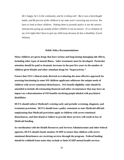*He's happy, he's in the community, and he is doing well. But it was a hard-fought battle, and 86 percent of the children in my state aren't receiving any services. We have to look at these children. Putting them in juvenile justice is not the answer. And parents giving up custody of their children is not an answer. It's a violation of my civil rights that I have to give my child away because he has a disability.* (Carol Wilson)

## **Public Policy Recommendations**

**Many children are given drugs that have serious and long-lasting damaging side effects, including other types of mental illness. Safer treatments must be developed. Particular attention should be paid to dramatic increases in the past five years in the number of children given Ritalin and other stimulant drugs for "hyperactivity."**

**Ensure that SSA's clinical study directed at evaluating the most effective approach for assessing functioning in some SSI children applicants addresses the unique needs of children with severe emotional disturbances. SSA benefit eligibility rules should be amended to include all extenuating financial and other circumstances that may have an impact on a determination of SSI benefits involving people labeled with psychiatric disabilities.**

**HCFA should enforce Medicaid's existing early and periodic screening, diagnosis, and treatment provisions. HCFA should issue a policy statement to state Medicaid officials emphasizing that Medicaid provisions apply to children with severe emotional disturbances, and that denial or failure to provide these services will result in loss of Medicaid funding.**

**In coordination with the Health Resources and Services Administration and other federal agencies, HCFA should closely monitor SCHIP to ensure that children with severe emotional disturbances are receiving services through the program. Federal funding should be withheld from states that exclude or limit SCHIP mental health services.**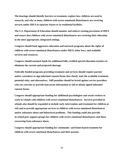**The hearings should identify barriers to treatment, explore how children are used in research, and why so many children with severe emotional disturbances are receiving services under IDEA in separate classes or in residential facilities.**

**The U.S. Department of Education should monitor and enforce existing provisions of IDEA and ensure that children with severe emotional disturbances are receiving their education in the most appropriate, integrated settings.**

**Congress should fund aggressive education and outreach programs about the rights of children with severe emotional disturbances under IDEA, other laws, and available services and resources.** 

**Congress should earmark funds for additional fully certified special education teachers to eliminate the current and projected shortage.**

**Federally funded programs providing treatment and services should require parents and/or caretakers to sign informed consent forms that clearly state the available treatment, potential risks, and alternatives. Stiff penalties should be levied against service providers who use coercion or provide inaccurate information or fail to obtain signed informed consent forms.**

**Congress should appropriate funding for additional psychologists and social workers to work in schools with children with severe emotional disturbances. Services provided in schools also should be expanded to include early intervention and treatment for children at risk and to provide appropriate services to children with severe emotional disturbances and/or substance abuse and behavioral problems. This funding could also provide in-school peer support groups for children with severe emotional disturbances and those recovering from substance abuse.**

**Congress should appropriate funding for community- and home-based treatment for children with severe emotional disturbances and their parents.**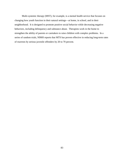Multi-systemic therapy (MST), for example, is a mental health service that focuses on changing how youth function in their natural settings—at home, in school, and in their neighborhood. It is designed to promote positive social behavior while decreasing negative behaviors, including delinquency and substance abuse. Therapists work in the home to strengthen the ability of parents or caretakers to raise children with complex problems. In a series of random trials, NIMH reports that MTS has proven effective in reducing long-term rates of rearrests by serious juvenile offenders by 20 to 70 percent.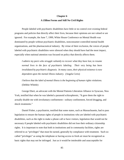# **Chapter 6 A Zillion Forms and Still No Civil Rights**

People labeled with psychiatric disabilities have little or no control over existing federal programs and policies that directly affect their lives, because their opinions are not valued or are ignored. For example, the June 7, 1999, White House Conference on Mental Health was dominated by people without psychiatric disabilities, nonconsumer-controlled mental health organizations, and the pharmaceutical industry. By virtue of their exclusion, the voices of people labeled with psychiatric disabilities were silenced when they should have had the most impact, especially when national attention was focused on policy that directly affects them.

*I admire my peers who struggle valiantly to recover what they have lost, to resume normal lives in the face of psychiatric labeling. Their very being has been invalidated by psychiatric diagnosis. In many cases, their physical existence is now dependent upon the mental illness industry.* (Angela Cerio)

*I believe that the label of mental illness is the beginning of human rights violations.* (Debbie Whittle)

George Ebert, an advocate with the Mental Patients Liberation Alliance in Syracuse, New York, testified that when he was labeled a paranoid schizophrenic, "It gave them the right to actually disable me with involuntary confinement—solitary confinement, forced drugging, and shock treatments."

Daniel Fisher, a psychiatrist, testified that some states, such as Massachusetts, had to pass legislation to ensure the human rights of people in institutions who are labeled with psychiatric disabilities, such as the right to make a phone call or have visitors, legislation that would not be necessary if people labeled with psychiatric disabilities did not lose their ordinary citizenship rights. It is important to note that both in institutions and in community facilities, rights are referred to as "privileges" that must be earned, generally by compliance with treatment. Such socalled "privileges" as using the telephone or having access to fresh air must be recognized as basic rights that may not be infringed. Just as it would be intolerable and unacceptable for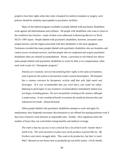people to lose their rights when they enter a hospital for medical treatment or surgery, such policies should be similarly unacceptable in psychiatric facilities.

Many of the federal programs available to people labeled with psychiatric disabilities work against self-determination and wellness. All people with disabilities who want to return to the workforce face barriers—many of them were addressed in *Removing Barriers to Work*, NCD's 1997 report. People labeled with psychiatric disabilities, however, encounter some unique barriers, and the stigma associated with their disabilities is the most egregious. Testimony revealed that many people labeled with psychiatric disabilities also are homeless and cannot access vocational services, and that people who *are* employed and acquire psychiatric disabilities often are refused accommodations. Worse, a provision in one federal law allows some people labeled with psychiatric disabilities to work for little or no compensation, when such work is part of a "therapeutic program."

*Patients are routinely coerced into forfeiting their rights in the name of treatment, and, in general, the system is structured to render consent meaningless. The hospital has a canteen overseen by therapeutic activity staff that sells light meals and beverages. If it was recommended that you work there, you could not refuse. Refusing to participate in any treatment recommendation immediately halted your privileges, including passes. We were not paid for working at the canteen, although it made money. It was considered hostile to mention the similarity between this and indentured servitude.* (Diana Rickard)

When people labeled with psychiatric disabilities attempt to work and apply for employment, they frequently encounter discrimination or are offered low-paying positions even if they have extensive work histories at responsible jobs. Further, SSA regulations limit the number of hours they can work before losing benefits and medical coverage.

*The truth is that my success is not a miracle but a lot of hard work—harder than it needs to be. The work incentives in place now rarely produce a person like me. My brothers and sisters struggle daily. They want to be productive, but they're stuck. Why? Because no one knows how to gradually get out of the system.* (Vicki Smith)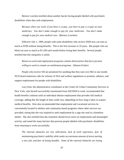Bernice Loschen testified about another barrier facing people labeled with psychiatric disabilities when they seek employment.

*Because when you work, if you have a co-pay...you have to pay a co-pay on your medicines. You don't make enough to pay for your medicines. You don't make enough to pay for your medical care.* (Bernice Loschen)

Effective July 1, 1999, people with some disabilities who receive SSDI now can earn as much as \$700 without losing benefits. This is the first increase in 10 years. But people who are blind can earn as much as \$1,100 each month before losing their benefits. Several people testified that this inequality is unfair.

*Return-to-work and employment programs contain disincentives that force persons willing to work to remain on entitlement programs.* (Sharon Frieler)

People who receive SSI are penalized for anything that they earn over \$65 in one month. NCD heard numerous calls for reforms of SSA and welfare regulations to promote, enhance, and support employment for people with disabilities.

Lucy Kim, the administrative coordinator at the Center for Urban Community Services in New York, who herself successfully transitioned from SSI/SSDI to work, recommended that health benefits continue until an individual obtains employment that provides full medical coverage, adding that the length of time could vary, depending on how long it takes to acquire medical benefits. Kim also recommended that employment and vocational services be conveniently located in shelters and community-based programs where other services are provided, noting that she was inspired to seek employment by a sign she read in a homeless shelter. She also testified that day treatment should focus more on employment and meaningful activity, and noted the many barriers that prevent people labeled with psychiatric disabilities from returning to work successfully.

*The internal obstacles are low self-esteem, lack of work experience, fear of maintaining psychiatric stability while under an enormous amount of stress starting a new job, and fear of losing benefits. Some of the external obstacles are losing*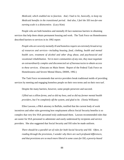*Medicaid, which enabled me to function. And, I had to lie, basically, to keep my Medicaid benefits in the transitional period. And also, I feel the SSI two-for-one earning scale is a disincentive.* (Lucy Kim)

People who are both homeless and mentally ill face numerous barriers in obtaining services that help them obtain permanent housing and work. The Task Force on Homelessness described barriers to services in its 1992 report:

*People who are severely mentally ill and homeless require an extremely broad array of resources and services—including housing, food, clothing, health and mental health care, treatment of alcohol and other drug abuse, and psychosocial and vocational rehabilitation. Yet in more communities of any size, they must negotiate an extraordinarily complex and disconnected set of bureaucracies to obtain access to these services.* (Outcasts on Main Street: Report of the Federal Task Force on Homelessness and Severe Mental Illness, DHHS, 1992.)

The Task Force recommends that service providers break traditional molds of providing services by meeting and engaging homeless people on their own terms and on their own turf.

Despite the many barriers, however, some people persevere and succeed.

*I filled out a zillion forms, and so did my boss, and so did my former mental health providers, but I'm completely off the system, and glad to be.* (Xenia Williams)

Ellen Lawson, a P&A attorney in Buffalo, testified that the current body of work incentives and other rules governing how employment affects Social Security benefits is so complex that very few SSA personnel truly understand them. Lawson recommended rules that are easier for SSA personnel to administer and easily understood by recipients and service providers. She also suggested that Social Security and SSI rules be made uniform.

*There should be a parallel set of rules for both Social Security and SSI. Often, in reading through the provisions, I wonder why there are such profound differences, and that provisions are so much more liberal in some cases for SSI, a poverty-based*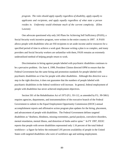*program. The rules should apply equally regardless of disability, apply equally to applicants and recipients, and apply equally regardless of what state a person resides in. Uniformity would eliminate much of the current complexity.* (Ellen Lawson)

One advocate questioned why only 243 Plans for Achieving Self Sufficiency (PASS), a Social Security work incentive program, were written in the entire country in 1997. A PASS allows people with disabilities who are SSI recipients to set aside income and/or resources for a specified period of time to achieve a work goal. Because writing a plan is so complex, and many providers and Social Security workers are unfamiliar with them, PASS remains an extremely underutilized method of helping people return to work.

Discrimination in hiring against people labeled with psychiatric disabilities continues to be a pervasive problem. On June 4, 1999, President Clinton directed OPM to ensure that the Federal Government has the same hiring and promotion standards for people labeled with psychiatric disabilities as it has for people with other disabilities. Although this directive was a step in the right direction, it does not guarantee that the numbers of people labeled with psychiatric disabilities in the federal workforce will increase. In general, federal employment of people with disabilities has never achieved employment objectives.

Section 501 of the Rehabilitation Act of 1973 (P.L. 93-112, as amended by P.L. 99-5061) requires agencies, departments, and instrumentalities of the executive branch of the Federal Government to submit to the Equal Employment Opportunity Commission (EEOC) annual accomplishment reports and affirmative action program plan updates for the hiring, placement, and advancement of people with disabilities. The Federal Government defines targeted disabilities as "deafness, blindness, missing extremities, partial paralysis, convulsive disorders, mental retardation, mental illness, and distortion of limbs and/or spine." In FY 1997, EEOC reports that people with severe disabilities represented only 1.16 percent of the total federal workforce—a figure far below the estimated 5.95 percent availability of people in the United States with targeted disabilities who were of workforce age and seeking employment.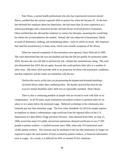Pam Olson, a mental health professional who also has experienced recurrent mental illness, testified that she naively expected ADA to protect her when she became ill. At the time she informed her employer about her depression, she had more than 20 years experience as a school psychologist and a classroom teacher and had always received positive evaluations. Olson testified that she allowed her employer to contact her therapist, assuming this would help her obtain the accommodations she needed. Instead, she was subjected to harassment, falsely accused of dishonesty, stalking, and intimidating others—none of which occurred. Her employer had rated her unsatisfactory in many areas, which were actually symptoms of her illness.

When her internal complaints of discrimination were ignored, Olsen filed suit in 1995. The court determined that she was not disabled and that she did not qualify for protection under ADA, because she was still able to perform her job—despite her unsatisfactory rating. The court also determined that ADA did not apply, because she could perform other jobs in a number of other areas. She states ADA provides little to no protection for those with psychiatric conditions, and that employers and the courts are unfamiliar with the law.

*I believe the courts, at this time, are perpetuating the stigmas and misunderstandings of mental illness rather than combating them. The burden of proof that must be met to prove mental disability under ADA sets an impossible standard.* (Pam Olson)

There is also a continuing problem of people who are forced to work with little or no compensation. In all 50 states, many institutions use patient workers to perform tasks for no salary or at a salary below the minimum wage. Sheltered workshops in the community also routinely pay less than minimum wage. The Fair Labor Standards Act (FLSA) simply requires an employer to obtain a subminimum wage certificate from the regional office of the U.S. Department of Labor (DOL) Wage and Hour Division. Data obtained from DOL on June 21, 1999, reveal that some 511 public and private institutions obtained certificates to use 27,395 people as patient workers—a marked increase since 1996, when only 374 institutions used 14,482 patient workers. This increase may be attributed to the fact that institutions no longer are required to report the total number of hours worked by patient workers, or financial information such as wages. As a result, it is difficult for DOL to monitor FLSA violations.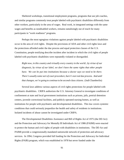Sheltered workshops, transitional employment programs, programs that use job coaches, and similar programs commonly treat people labeled with psychiatric disabilities differently from other workers, particularly in the area of wages. Real work, in integrated settings with the same wages and benefits as nondisabled workers, remains tantalizingly out of reach for many participants in "work readiness" programs.

Perhaps the most egregious violations against people labeled with psychiatric disabilities occur in the area of civil rights. Despite the provisions of ADA and other civil rights laws and the protections afforded under the due process and equal protection clauses of the U.S. Constitution, people testifying describe incident after incident in which the civil rights of people labeled with psychiatric disabilities were repeatedly violated or disregarded.

*Right now, in this country and virtually every country in the world...by virtue of our diagnosis, by virtue of our label, we don't have the same rights that other people have. We can be put into institutions because a doctor says we need to be there. There's usually some sort of court procedure, but it's not real due process. And until that changes, we're going to continue to be second-class citizens.* (Judi Chamberlin)

Several laws address various aspects of civil rights protections for people labeled with psychiatric disabilities. CRIPA authorizes the U.S. Attorney General to investigate conditions of confinement at state and local government institutions such as prisons, jails, pretrial detention centers, juvenile correctional facilities, and publicly operated nursing homes, as well as institutions for people with psychiatric and developmental disabilities. This law covers systemic conditions that could seriously jeopardize the health and safety of residents in institutions. Isolated incidents of abuse cannot be investigated under CRIPA.

The Developmental Disabilities Assistance and Bill of Rights Act of 1975 (the DD Act) and the Protection and Advocacy for Mentally Ill Individuals Act of 1986 (PAIMI) were enacted to protect the human and civil rights of people with disabilities in institutions. The DD Act and PAIMI provide a congressionally mandated nationwide network of protection and advocacy services. In 1994, Congress provided full funding for the Protection and Advocacy for Individual Rights (PAIR) program, which was established in 1978 but never funded under the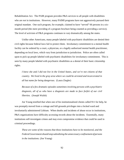Rehabilitation Act. The PAIR program provides P&A services to all people with disabilities who are *not* in institutions. However, many PAIMI programs have not aggressively pursued their original mandate. One such program, for example, claimed to have "served" 66 persons in a sixmonth period (the mere providing of a program brochure being counted as providing a service). The level of activism of P&A programs continues to vary dramatically among the states.

Unlike other Americans, many people labeled with psychiatric disabilities are denied their civil rights because federal laws fail to protect them. Involuntary commitment to a mental health facility can be ordered by a court, a physician, or a legally authorized mental health practitioner, depending on local laws, which vary from jurisdiction to jurisdiction. Police are often called upon to pick up people labeled with psychiatric disabilities for involuntary commitment. This is seen by many people labeled with psychiatric disabilities as a denial of their basic citizenship rights.

*I knew she and I did not live in the United States, and we're not citizens of that country. We lived in the gray area where we could be arrested and incarcerated in all but name for being dangerous.* (Laura Ziegler)

*Because of a few dramatic episodes sometimes involving persons with a psychiatric diagnosis, all of us who have a diagnosis are made to face forfeit of our civil liberties.* (Joseph Walsh)

Joe Young testified that when one of his institutionalized clients called 911 for help, he was promptly moved from a cottage and full grounds privileges into a locked ward and involuntarily administered Lithium. When deaths and incidents of abuse occur in institutions, P&A organizations have difficulty accessing records about the incidents. Essentially, many institutions self-investigate crimes and may even compromise evidence that could be used in criminal proceedings.

*These are some of the reasons that these institutions have to be monitored, and the Federal Government should stop subsidizing the unnecessary confinement of persons in the institutions.* (Joe Young)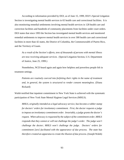According to information provided by DOJ, as of June 15, 1999, DOJ's Special Litigation Section is investigating mental health services in 65 health care and correctional facilities. It is also monitoring remedial settlements involving mental health services in 128 health care and correction facilities and hundreds of community placements from facilities under court orders. DOJ states that since 1993 the Section has investigated mental health services and monitored remedial settlements to improve mental health services in over 300 health care and correctional facilities in more than 42 states, the District of Columbia, the Commonwealth of Puerto Rico, and the Territory of Guam.

*As a result of the Section's efforts, tens of thousands of persons with mental illness are now receiving adequate services.* (Special Litigation Section, U.S. Department of Justice, June 25, 1999.)

Nonetheless, NCD heard again and again how helpless and powerless people felt in treatment settings.

*Patients are routinely coerced into forfeiting their rights in the name of treatment and, in general, the system is structured to render consent meaningless.* (Diana Rickard)

Walsh testified that inpatient commitment in New York State is achieved with the systematic participation of New York State Mental Hygiene Legal Services (MHLS).

*MHLS, originally intended as a legal advocacy service, has become a rubber stamp for doctors' orders for involuntary commitment. First, the doctor requests a judge to impose an involuntary commitment order. Invariably, a judge grants the doctor's request. When advocacy is requested by the subject of the commitment order, MHLS responds that they cannot or will not challenge the judge's order. The judge won't challenge the doctor; MHLS won't challenge the judge. Doctors' orders for commitment [are] facilitated with the appearance of due process. The state has therefore created an apparatus to create the illusion of due process.* (Joseph Walsh)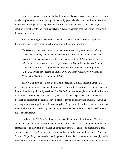Like other elements of the mental health system, advocacy services and rights protection are also implemented without major participation by people labeled with psychiatric disabilities themselves, leading to an often paternalistic attitude of "best interests" rather than paying attention to what people want for themselves. Advocacy services need to become accountable to the people they serve.

Virtually nothing has been done at the local or federal level to protect people with disabilities who are victimized in institutions and in their communities.

*Until recently, the crime victims' movement has not worked systematically to identify issues and challenges involved in responding more effectively to victims with disabilities. Improving service delivery to people with disabilities must become a priority, because the crime victims' rights movement is founded on the premise that every crime victim deserves fundamental justice and comprehensive, quality services.* (U.S. DOJ Office for Victims of Crime, *OVC Bulletin: Working with Victims of Crime with Disabilities,* September 1998.)

The *OVC Bulletin* cites a survey by Dick Sobsey, R.N., Ed.D., indicating that 48.1 percent of the perpetrators of sexual abuse against people with disabilities had gained access to their victims through disability services. *OVC Bulletin* notes that people who are victimized are vulnerable to exacerbated suffering. Also, most victims will experience a sense of shock, disbelief, or denial that the crime occurred, often followed by cataclysmic emotions, including fear, anger, confusion, guilt, humiliation, and grief. People with disabilities, however, may have intensified reactions because they may already feel stigmatized and often have low self-esteem due to societal attitudes.

Unlike most *OVC Bulletins* focusing on special categories of victims, *Working with Victims of Crime with Disabilities* offers no authoritative "census" describing the numbers and characteristics of the victim population under review, because—again—no authoritative data currently exist. The *Bulletin* does cite several studies, including one published in the *American Journal of Psychiatry*, that revealed that 81 percent of psychiatric inpatients had been physically or sexually assaulted at some point in their lives. The Colorado Department of Health estimates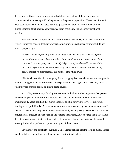that upward of 85 percent of women with disabilities are victims of domestic abuse, in comparison with, on average, 25 to 50 percent of the general population. These statistics, which have been replicated in many states, call into question the "brain disease" model of mental illness, indicating that trauma, not disordered brain chemistry, explains many emotional reactions.

Tina Minckowitz, a representative of the Brooklyn Mental Hygiene Court Monitoring Project, expressed concern that due process hearings prior to involuntary commitment do not protect people's rights.

*In New York, as in probably most other states now, they have to—they're supposed to—go through a court hearing before they can drug you by force, unless they consider it an emergency. And basically 90 percent of the time—99 percent of the time—the psychiatrists get to do what they want. So the hearings are not giving people protection against forced drugging.* (Tina Minckowitz)

Minckowitz testified that emergency forced drugging is extremely abused and that people are force-drugged in institutions because they speak up for their rights or because they speak up when they see another patient or inmate being abused.

According to testimony, funding and resource limitations are leaving vulnerable people labeled with psychiatric disabilities unprotected. Lawson, who has worked in the PAIMI program for 12 years, testified that more people are eligible for PAIMI services, but current funding levels prohibit this. As a part-time attorney who is assisted by two other part-time staff, she must cover a 15-county region in western New York, encompassing two cities and a number of rural areas. Because of such staffing and funding limitations, Lawson stated that a three-hour drive to interview one client is not unusual. If funding were higher, she testified, they could move quickly and expediently to protect the rights of their clients.

Psychiatrist and psychiatric survivor Daniel Fisher testified that the label of mental illness should not deprive people of their fundamental constitutional rights.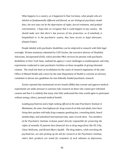*What happens in a country, as it happened in Nazi Germany, when people who are labeled as fundamentally different and flawed, as our biological psychiatry model does, the next step can be the deprivation of rights, forced treatment, and gradual extermination. I hope that we recognize that it could happen in any country. We should make sure that there's due process of law protection, so if somebody is hospitalized or in the psychiatric system, they have access to legal advocates.* (Daniel Fisher)

People labeled with psychiatric disabilities can be subjected to research with little legal oversight. Written testimony submitted by Cliff Zucker, the executive director of Disability Advocates, Incorporated (DAI), which provides P&A services for persons with psychiatric disabilities in New York State, outlined his agency's court challenges to nontherapeutic and risky experiments conducted in state psychiatric facilities on those incapable of giving informed consent. The result has been an invalidation by the courts of research regulations of the state Office of Mental Health and a move by the state Department of Health to convene an advisory committee to devise new guidelines for non-federally funded psychiatric research.

Zucker reported that institutional review boards (IRBs) that oversee and approve medical experiments are under pressure to sanction risky research on those who cannot give informed consent and that it is unlikely that many who fully understand the risks would agree to participate without seeing a direct, personal medical benefit.

*Leading psychiatrists and a high-ranking official at the state Psychiatric Institute in Manhattan, the state clearinghouse for drug research on kids and adults, have been lining their pockets with hefty drug-company speaking fees, consulting deals, board memberships, and subsidized international trips, state records show. Two members of the Psychiatric Institute in-house panel directly responsible for protecting the rights of mentally ill patients have financial ties to drug mega-firms like Eli Lilly, Glaxo Wellcome, and Bristol-Myers Squibb. The drug makers, while enriching the psychiatrists, are also picking up the tab for research at the Psychiatric Institute, where their products are tested for treatment of such ailments as depression,*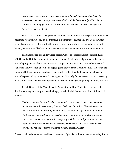*hyperactivity, and schizophrenia. Drug-company-funded studies are often led by the same researchers who have private money deals with the firms. (Analyze This: Docs Get Drug Company \$\$* by Gregg Birnbaum and Douglas Montero, *The New York Post,* February 28, 1999.)

Zucker also cautioned that people from minority communities are especially vulnerable to becoming research subjects. In the infamous experiments conducted in New York, in which young boys were given doses of fenfluramine, a procedure without any potential therapeutic benefit, he notes that all of the subjects were either African Americans or Latino Americans.

The understaffed and underfunded federal Office of Protection from Research Risks (OPRR) at the U.S. Department of Health and Human Services investigates federally funded research programs involving human research subjects to ensure compliance with the Federal Policy for the Protection of Human Subjects (also known as the Common Rule). However, the Common Rule only applies to subjects in research regulated by the FDA and to subjects in research sponsored by some federal other agencies. Privately funded research is not covered by the Common Rule, so there are no protections for human beings who participate in this research.

Joseph Glazer, of the Mental Health Association in New York State, summarized discrimination against people labeled with psychiatric disabilities and violations of their civil liberties.

*Having laws on the books that say people can't vote if they are mentally incompetent—or, in some states, "lunatics"—is discrimination. Having laws on the books that say a diagnosis of mental illness is sufficient grounds to take your children away in a family court proceeding is discrimination. Having laws sweeping across the country that say that it's okay to put violent sexual predators in state psychiatric hospitals with vulnerable people, who have in many cases already been victimized by such predators, is discrimination.* (Joseph Glazer)

Glazer concluded that mental health advocates must fight discrimination everywhere they find it.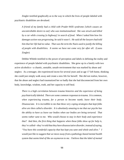Ziegler testified graphically as to the way in which the lives of people labeled with psychiatric disabilities are devalued.

*A friend of my family had a child with Prader-Willi syndrome [which causes an uncontrollable desire to eat] who was institutionalized. She was struck and killed by a car while crossing [a highway] in search of food. When I asked him how his damages action was progressing, he said it wasn't. He said all the lawyers had told him that her life had no value. That was the term the Nazis used to justify the killing of people with disabilities. It seems we have not come very far after all.* (Laura Ziegler)

Debbie Whittle testified to the power of perception and labels in defining the reality and experience of people labeled with psychiatric disabilities. She grew up in a family with two active alcoholics—a chaotic, unstable, unsafe environment that was marked by abuse and neglect. As a teenager, she experienced incest for several years and at age 17 left home, thinking she could just simply walk away and create a new life for herself. She did not realize, however, that the abuse and neglect had traumatized her so badly that she had disconnected from her own body, knowledge, wisdom, truth, and her capacity to self-heal.

*There is a high correlation between trauma histories and the experience of being psychiatrically labeled. There are some common responses to trauma. It is common, when experiencing trauma, for a person to become numb, leave their body. Disassociate. It is incredible to me that these very coping strategies that kept folks alive are then called a disorder. It is absolutely amazing to me that our psyche has the ability to have us leave our bodies when our bodies are being tortured. That seems rather sane to me. Who would choose to stay in their body and experience that? And then, the first thing that happens when those folks show up for help is, they're called—they're told that they have disassociative disorder, instead of saying, "You have this wonderful capacity that has kept you sane and whole and alive." I would just like to suggest that we move away from a pathology-based mental health system that seems kind of like an oxymoron to me. I believe that the label of mental*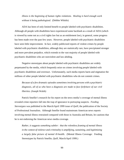*illness is the beginning of human rights violations. Healing is hard enough work without it being pathologized.* (Debbie Whittle)

ADA has been of only limited benefit to people labeled with psychiatric disabilities. Although all people with disabilities have experienced some backlash as a result of ADA (which is viewed by some not as a civil rights law but as an entitlement law), in general, some progress has been made over the past few years. However, people labeled with psychiatric disabilities have seen little improvement. In fact, widely publicized reports of violent crimes by people labeled with psychiatric disabilities, although they are statistically rare, have precipitated stronger and more prevalent prejudice, which extends to the vast majority of people labeled with psychiatric disabilities who are nonviolent and law-abiding.

Negative stereotypes about people labeled with psychiatric disabilities are widely perpetuated by the media, which frequently seize on crimes involving people labeled with psychiatric disabilities and overreact. Unfortunately, such media reports harm and stigmatize the millions of other people labeled with psychiatric disabilities who do not commit crimes.

*Because of a few dramatic episodes sometimes involving persons with a psychiatric diagnosis, all of us who have a diagnosis are made to face forfeiture of our civil liberties.* (Joseph Walsh)

Patrick Smellie's research for his report on the news media's coverage of mental illness revealed crime reporters fall into the trap of ignorance in portraying suspects. *Feeding Stereotypes* was published in the March/April 1999 issue of *Quill*, the publication of the Society of Professional Journalists. Although Smellie found mainstream American news reports involving mental illness restrained compared with those in Australia and Britain, he cautions that he is not endorsing the American news media coverage.

*Rather, it suggests something subtler: that the relentless framing of mental illness in the context of violence and criminality is amplifying, sustaining, and legitimizing a largely false picture of mental ill-health.* (Mental Illness Coverage: Feeding Stereotypes by Patrick Smellie, *Quill,* March/April 1999.)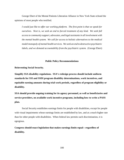George Ebert of the Mental Patients Liberation Alliance in New York State echoed the opinions of most people who testified.

*I would just like to offer our working platform. The first point is that we speak for ourselves. Next is, we seek an end to forced treatment of any kind. We seek full access to community support, advocates, and legal assistants in all involvement with the mental health system. We call for access to holistic alternatives to the medical model monopoly of mental health services. We seek an end to destructive psychiatric labels, and we demand accountability from the psychiatric system.* (George Ebert)

### **Public Policy Recommendations**

**Reinventing Social Security.**

**Simplify SSA disability regulations. SSA's redesign process should include uniform standards for SSI and SSDI program disability determinations, work incentives, and equitable earning amounts during trial work periods, regardless of program eligibility or disability.**

**SSA should provide ongoing training for its agency personnel, as well as beneficiaries and service providers, on available work incentive programs, including how to write a PASS plan.**

Social Security establishes earnings limits for people with disabilities, except for people with visual impairments whose earnings limits are established by law, and at a much higher rate than for other people with disabilities. When federal law permits such discrimination, it is egregious.

**Congress should enact legislation that makes earnings limits equal—regardless of disability.**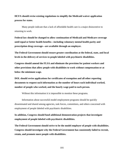**HCFA should revise existing regulations to simplify the Medicaid waiver application process for states**.

Many people indicate that a lack of affordable health care is a major disincentive to returning to work.

**Federal law should be changed to allow continuation of Medicaid and Medicare coverage until equal or better health benefits—including voluntary mental health parity and prescription drug coverage—are available through an employer.**

**The Federal Government should ensure greater coordination at the federal, state, and local levels in the delivery of services to people labeled with psychiatric disabilities.**

**Congress should amend the FLSA and eliminate the provision for patient workers and other provisions that allow people with disabilities to work without compensation or at below the minimum wage.** 

**DOL should revise applications for certificates of exemption and all other reporting documents to request such information as the number of hours each individual worked, number of people who worked, and the hourly wage paid to each person.** 

Without this information it is impossible to monitor these programs.

Information about successful model employment programs should be quickly disseminated and shared among agencies, task forces, committees, and others concerned with employment of people labeled with psychiatric disabilities.

**In addition, Congress should fund additional demonstration projects that investigate employment of people labeled with psychiatric disabilities.**

**The Federal Government should strive to be the model employer of people with disabilities. Congress should investigate why the Federal Government has consistently failed to recruit, retain, and promote more people with disabilities.**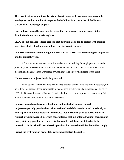**This investigation should identify existing barriers and make recommendations on the employment and promotion of people with disabilities in all branches of the Federal Government, including Congress.** 

**Federal forms should be screened to ensure that questions pertaining to psychiatric disabilities do not violate existing laws.** 

**EEOC should penalize federal agencies that discriminate or fail to comply with existing provisions of all federal laws, including reporting requirements.**

**Congress should increase funding for EEOC and DOJ ADA-related training for employers and the judicial system.** 

ADA employment-related technical assistance and training for employers and also the judicial system are essential to ensure that people labeled with psychiatric disabilities are not discriminated against in the workplace or when they take employment cases to the court.

#### **Human research subjects should be protected.**

The National Animal Welfare Act of 1966 protects animals who are used in research, but no federal law extends those same rights to people who are decisionally incapacitated. In early 1999, the National Institute of Mental Health halted several research projects because they failed to give adequate protection to their human subjects.

**Congress should enact strong federal laws that protect all human research subjects—especially people who are incapacitated and children—involved in federally as well as privately funded research. These laws should require, prior to participation in research programs, signed informed consent forms that are obtained without coercion and clearly state any possible adverse events that could result from participation in the research. The law should provide strict penalties for research facilities that fail to comply.**

**Protect the civil rights of people labeled with psychiatric disabilities.**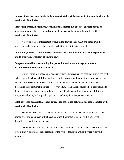**Congressional hearings should be held on civil rights violations against people labeled with psychiatric disabilities.**

**Prosecute persons, institutions, or entities that violate due process, durable power of attorney, advance directives, and informed consent rights of people labeled with psychiatric disabilities.**

Vigorous federal enforcement of civil rights laws such as ADA and other laws that protect the rights of people labeled with psychiatric disabilities is essential.

**In addition, Congress should increase funding for federal technical assistance programs and to ensure enforcement of existing laws.**

# **Congress should increase funding for protection and advocacy organizations to accommodate the increased workload.**

Current funding levels do not adequately cover enforcement of laws that protect the civil rights of people with disabilities. With the elimination of state funding for prison legal service agencies, it is essential that P&A services are available to people labeled with psychiatric disabilities in correctional facilities. However, P&A organizations must be held accountable to their constituencies and meaningfully involve people labeled with psychiatric disabilities in programs and policymaking and as paid staff, including in management positions.

# **Establish local, accessible, 24-hour emergency assistance networks for people labeled with psychiatric disabilities.**

Such networks could be operated using existing victim assistance programs that have trained staff and volunteers or that have significant numbers of people with a variety of disabilities on staff or as volunteers.

People labeled with psychiatric disabilities should not be denied their constitutional right to vote simply because of their disability or the type of facility in which they are receiving treatment.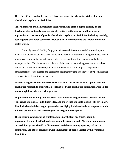**Therefore, Congress should enact a federal law protecting the voting rights of people labeled with psychiatric disabilities.**

**Federal research and demonstration resources should place a higher priority on the development of culturally appropriate alternatives to the medical and biochemical approaches to treatment of people labeled with psychiatric disabilities, including self-help, peer support, and other consumer/survivor-driven alternatives to the traditional mental health system.**

Currently, federal funding for psychiatric research is concentrated almost entirely on medical and biochemical approaches. Only a tiny fraction of research funding is directed toward programs of community support, and even less is directed toward peer support and other selfhelp approaches. This imbalance is only one of the reasons that such approaches receive less funding and are often funded only as time-limited demonstration projects, despite their considerable record of success and despite the fact that they tend to be favored by people labeled with psychiatric disabilities themselves.

**Further, Congress should amend statutes regarding the review of grant applications for psychiatric research to ensure that people labeled with psychiatric disabilities are included in meaningful ways in the review process.**

**Employment and training and vocational rehabilitation programs must account for the wide range of abilities, skills, knowledge, and experience of people labeled with psychiatric disabilities by administering programs that are highly individualized and responsive to the abilities, preferences, and personal goals of program participants.**

**The successful components of employment demonstration programs should be implemented while identified weakness should be strengthened. Also, information about successful programs should be disseminated and shared among agencies, task forces, committees, and others concerned with employment of people labeled with psychiatric disabilities.**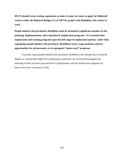**HCFA should revise existing regulations to make it easier for states to apply for Medicaid waivers under the Balanced Budget Act of 1997 for people with disabilities who return to work.**

**People labeled with psychiatric disabilities must be included in significant numbers in the planning, implementation, and evaluation of employment programs. It is essential that employment and training programs span the full range of employment options, rather than segregating people labeled with psychiatric disabilities in low-wage positions with few opportunities for advancement, or in segregated "make-work" programs.** 

Currently, many people labeled with psychiatric disabilities who already have advanced degrees or considerable high-level employment experience are actively discouraged from returning to their previous type and level of employment, and are shunted into programs far below their level of interest or skill.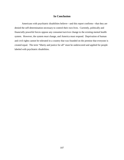## **In Conclusion**

Americans with psychiatric disabilities believe—and this report confirms—that they are denied the self-determination necessary to control their own lives. Currently, politically and financially powerful forces oppose any consumer/survivor change to the existing mental health system. However, the system *must* change, and America must respond. Deprivation of human and civil rights cannot be tolerated in a country that was founded on the premise that everyone is created equal. The term "liberty and justice for all" must be underscored and applied for people labeled with psychiatric disabilities.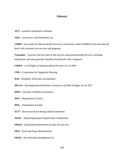## **Glossary**

**ACT**—assertive community treatment

**ADA**—Americans with Disabilities Act

**CMHS**—the Center for Mental Health Services is the bureau within SAMHSA that most directly deals with consumer-run services and programs

**Consumer**—a person who has used or still may be using mental health services, including medication, and who generally identifies her/himself with a diagnosis

**CRIPA**—Civil Rights of Institutionalized Persons Act of 1980

**CSH**—Corporation for Supportive Housing

**DAI**—Disability Advocates, Incorporated

**DD Act**—Developmental Disabilities Assistance and Bill of Rights Act of 1975

**DMA**—Division of Medical Assistance

**DOJ**—Department of Justice

**DOL**—Department of Labor

**ECT**—electroconvulsive therapy (shock treatment)

**EEOC**—Equal Employment Opportunity Commission

**ERISA**—Employment Retirement Income Security Act

**FDA**—Food and Drug Administration

**FHAA**—Fair Housing Amendments Act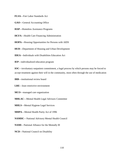**FLSA**—Fair Labor Standards Act

**GAO**—General Accounting Office

**HAP**—Homeless Assistance Programs

**HCFA**—Health Care Financing Administration

**HOPA**—Housing Opportunities for Persons with AIDS

**HUD**—Department of Housing and Urban Development

**IDEA**—Individuals with Disabilities Education Act

**IEP**—individualized education program

**IOC**—involuntary outpatient commitment, a legal process by which persons may be forced to accept treatment against their will in the community, most often through the use of medication

**IRB**—institutional review board

**LRE**—least restrictive environment

**MCO**—managed care organization

**MHLAC**—Mental Health Legal Advisors Committee

**MHLS**—Mental Hygiene Legal Services

**MHPA**—Mental Health Parity Act of 1996

**NAMHC**—National Advisory Mental Health Council

**NAMI**—National Alliance for the Mentally Ill

**NCD**—National Council on Disability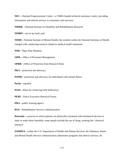**NEC**—National Empowerment Center—a CMHS-funded technical assistance center, providing information and referral services to consumers and survivors

**NIDRR**—National Institute on Disability and Rehabilitation Research

**NIMBY**—not in my back yard

**NIMH**—National Institute of Mental Health, the institute within the National Institutes of Health charged with conducting research related to medical model treatments

**NSH**—Napa State Hospital

**OPM**—Office of Personnel Management

**OPRR**—Office of Protection from Research Risks

**P&A**—protection and advocacy

**PAIMI**—protection and advocacy for individuals with mental illness

**Parity**—equality

**PASS**—Plans for Achieving Self-Sufficiency

**PERF**—Police Executive Research Forum

**PHA**—public housing agency

**RSA**—Rehabilitation Services Administration

**Restraint**—a process in which patients are physically restrained with mechanical devices in order to make them immobile; some people include the use of drugs, terming this "chemical restraint"

**SAMHSA**—within the U.S. Department of Health and Human Services, the Substance Abuse and Mental Health Services Administration administers programs that deliver services, do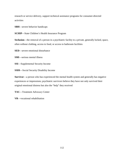research or service delivery, support technical assistance programs for consumer-directed activities

**SBH**—severe behavior handicaps

**SCHIP**—State Children's Health Insurance Program

**Seclusion**—the removal of a person in a psychiatric facility to a private, generally locked, space, often without clothing, access to food, or access to bathroom facilities

**SED**—severe emotional disturbance

**SMI**—serious mental illness

**SSI**—Supplemental Security Income

**SSDI**—Social Security Disability Income

**Survivor**—a person who has experienced the mental health system and generally has negative experiences or impressions; psychiatric survivors believe they have not only survived their original emotional distress but also the "help" they received

**TAC**—Treatment Advocacy Center

**VR**—vocational rehabilitation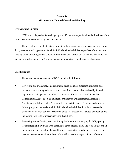# **Appendix Mission of the National Council on Disability**

#### **Overview and Purpose**

NCD is an independent federal agency with 15 members appointed by the President of the United States and confirmed by the U.S. Senate.

The overall purpose of NCD is to promote policies, programs, practices, and procedures that guarantee equal opportunity for all individuals with disabilities, regardless of the nature or severity of the disability; and to empower individuals with disabilities to achieve economic selfsufficiency, independent living, and inclusion and integration into all aspects of society.

#### **Specific Duties**

The current statutory mandate of NCD includes the following:

- Reviewing and evaluating, on a continuing basis, policies, programs, practices, and procedures concerning individuals with disabilities conducted or assisted by federal departments and agencies, including programs established or assisted under the Rehabilitation Act of 1973, as amended, or under the Developmental Disabilities Assistance and Bill of Rights Act; as well as all statutes and regulations pertaining to federal programs that assist such individuals with disabilities, in order to assess the effectiveness of such policies, programs, practices, procedures, statutes, and regulations in meeting the needs of individuals with disabilities.
- Reviewing and evaluating, on a continuing basis, new and emerging disability policy issues affecting individuals with disabilities at the federal, state, and local levels, and in the private sector, including the need for and coordination of adult services, access to personal assistance services, school reform efforts and the impact of such efforts on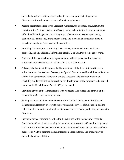individuals with disabilities, access to health care, and policies that operate as disincentives for individuals to seek and retain employment.

- Making recommendations to the President, Congress, the Secretary of Education, the Director of the National Institute on Disability and Rehabilitation Research, and other officials of federal agencies, respecting ways to better promote equal opportunity, economic self-sufficiency, independent living, and inclusion and integration into all aspects of society for Americans with disabilities.
- Providing Congress, on a continuing basis, advice, recommendations, legislative proposals, and any additional information that NCD or Congress deems appropriate.
- Gathering information about the implementation, effectiveness, and impact of the Americans with Disabilities Act of 1990 (42 USC 12101 et seq.).
- Advising the President, Congress, the Commissioner of the Rehabilitation Services Administration, the Assistant Secretary for Special Education and Rehabilitative Services within the Department of Education, and the Director of the National Institute on Disability and Rehabilitation Research on the development of the programs to be carried out under the Rehabilitation Act of 1973, as amended.
- Providing advice to the Commissioner with respect to the policies and conduct of the Rehabilitation Services Administration.
- Making recommendations to the Director of the National Institute on Disability and Rehabilitation Research on ways to improve research, service, administration, and the collection, dissemination, and implementation of research findings affecting persons with disabilities.
- Providing advice regarding priorities for the activities of the Interagency Disability Coordinating Council and reviewing the recommendations of this Council for legislative and administrative changes to ensure that such recommendations are consistent with the purposes of NCD to promote the full integration, independence, and productivity of individuals with disabilities.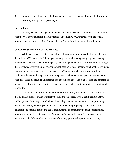Preparing and submitting to the President and Congress an annual report titled *National Disability Policy: A Progress Report.* 

#### **International**

In 1995, NCD was designated by the Department of State to be the official contact point with the U.S. government for disability issues. Specifically, NCD interacts with the special rapporteur of the United Nations Commission for Social Development on disability matters.

#### **Consumers Served and Current Activities**

While many government agencies deal with issues and programs affecting people with disabilities, NCD is the only federal agency charged with addressing, analyzing, and making recommendations on issues of public policy that affect people with disabilities regardless of age, disability type, perceived employment potential, economic need, specific functional ability, status as a veteran, or other individual circumstance. NCD recognizes its unique opportunity to facilitate independent living, community integration, and employment opportunities for people with disabilities by ensuring an informed and coordinated approach to addressing the concerns of persons with disabilities and eliminating barriers to their active participation in community and family life.

NCD plays a major role in developing disability policy in America. In fact, it was NCD that originally proposed what eventually became the Americans with Disabilities Act (ADA). NCD's present list of key issues includes improving personal assistance services, promoting health care reform, including students with disabilities in high-quality programs in typical neighborhood schools, promoting equal employment and community housing opportunities, monitoring the implementation of ADA, improving assistive technology, and ensuring that persons with disabilities who are members of minority groups fully participate in society.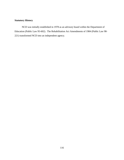## **Statutory History**

NCD was initially established in 1978 as an advisory board within the Department of Education (Public Law 95-602). The Rehabilitation Act Amendments of 1984 (Public Law 98- 221) transformed NCD into an independent agency.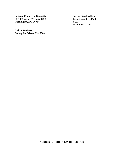**National Council on Disability Special Standard Mail<br>
1331 F Street, NW, Suite 1050 Special Standard Mail<br>
Postage and Fees Paid 1331 F Street, NW, Suite 1050** Washington, DC 20004 NCD

**Official Business Penalty for Private Use, \$300** **Permit No. G-279**

## **ADDRESS CORRECTION REQUESTED**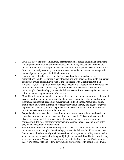- 1. Laws that allow the use of involuntary treatments such as forced drugging and inpatient and outpatient commitment should be viewed as inherently suspect, because they are incompatible with the principle of self-determination. Public policy needs to move in the direction of a totally voluntary community-based mental health system that safeguards human dignity and respects individual autonomy.
- 2. Government civil rights enforcement agencies and publicly funded advocacy organizations should work more closely together and with adequate funding to implement effectively critical existing laws such as the Americans with Disabilities Act, Fair Housing Act, Civil Rights of Institutionalized Persons Act, Protection and Advocacy for Individuals with Mental Illness Act, and Individuals with Disabilities Education Act, giving people labeled with psychiatric disabilities a central role in setting the priorities for enforcement and implementation of these laws.
- 3. Mental health treatment should be about healing, not punishment. Accordingly, the use of aversive treatments, including physical and chemical restraints, seclusion, and similar techniques that restrict freedom of movement, should be banned. Also, public policy should move toward the elimination of electroconvulsive therapy and psychosurgery as unproven and inherently inhumane procedures. Effective humane alternatives to these techniques exist now and should be promoted.
- 4. People labeled with psychiatric disabilities should have a major role in the direction and control of programs and services designed for their benefit. This central role must be played by people labeled with psychiatric disabilities themselves, and should not be confused with the roles that family members, professional advocates, and others often play when "consumer" input is sought.
- 5. Eligibility for services in the community should never be contingent on participation in treatment programs. People labeled with psychiatric disabilities should be able to select from a menu of independently available services and programs, including mental health services, housing, vocational training, and job placement, and should be free to reject any service or program. Moreover, in part in response to the Supreme Court's decision in *L.C. v. Olmstead,* state and federal governments should work with people labeled with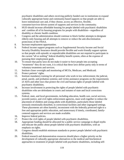psychiatric disabilities and others receiving publicly funded care in institutions to expand culturally appropriate home and community-based supports so that people are able to leave institutional care and, if they choose, access an effective, flexible, consumer/survivor-driven system of supports and services in the community.

- 6. HUD should increase affordable housing for people labeled with psychiatric disabilities and combine all of its housing programs for people with disabilities—regardless of disability or chronic health condition.
- 7. Congress and the administration should continue to block further attempts to designate elderly-only housing and all attempts to remove or reduce the anti-discrimination protections of the FHAA.
- 8. Increase employment opportunities.
- 9. Federal income support programs such as Supplemental Security Income and Social Security Disability Insurance should provide flexible and work-friendly support options so that people with episodic or unpredictable disabilities are not required to participate in the current "all or nothing" federal disability benefit system, often at the expense of pursuing their employment goals.
- 10. To ensure that parity laws do not make it easier to force people into accepting "treatments" they do not want, it is critical that these laws define parity only in terms of voluntary treatments and services.
- 11. Institute closer oversight and monitoring of MCOs, Medicare, and Medicaid.
- 12. Protect patients' rights.
- 13. Institute mandatory training for all personnel who work in law enforcement; the judicial, penal, parole, and probation systems; and victim assistance programs on the requirements of ADA and other laws that protect the civil and human rights of people labeled with psychiatric disabilities.
- 14. Increase involvement in protecting the rights of people labeled with psychiatric disabilities who are defendants in courts and inmates of state and local corrections systems.
- 15. Federal, state, and local governments, including education, health care, social services, juvenile justice, and civil rights enforcement agencies, must work together to reduce the placement of children and young adults with disabilities, particularly those labeled seriously emotionally disturbed, in correctional facilities and other segregated settings. These placements are often harmful, inconsistent with the federally protected right to a free and appropriate public education, and unnecessary if timely, coordinated, familycentered supports and services are made available.
- 16. Improve federal policies.
- 17. Protect the civil rights of people labeled with psychiatric disabilities.
- 18. Appropriate funding should be allocated for a public service campaign to dispel myths and educate the public about people labeled with psychiatric disabilities, with an emphasis on rights.
- 19. Congress should establish minimum standards to protect people labeled with psychiatric disabilities.
- 20. Federal research and demonstration resources should place a higher priority on the development of culturally appropriate alternatives to the medical and biochemical approaches to treatment of people labeled with psychiatric disabilities, including self-